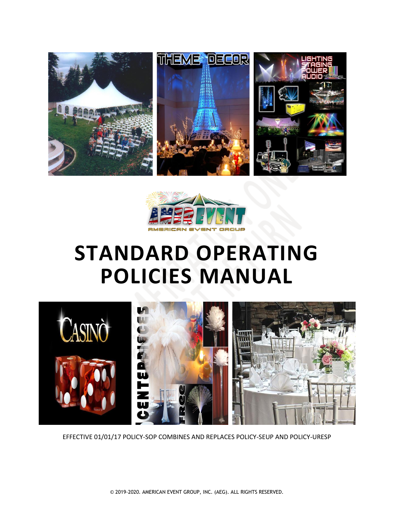



# **STANDARD OPERATING POLICIES MANUAL**



EFFECTIVE 01/01/17 POLICY-SOP COMBINES AND REPLACES POLICY-SEUP AND POLICY-URESP

© 2019-2020. AMERICAN EVENT GROUP, INC. (AEG). ALL RIGHTS RESERVED.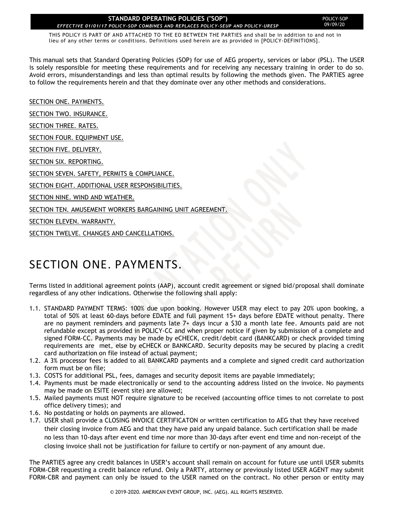THIS POLICY IS PART OF AND ATTACHED TO THE EO BETWEEN THE PARTIES and shall be in addition to and not in lieu of any other terms or conditions. Definitions used herein are as provided in [POLICY-DEFINITIONS].

This manual sets that Standard Operating Policies (SOP) for use of AEG property, services or labor (PSL). The USER is solely responsible for meeting these requirements and for receiving any necessary training in order to do so. Avoid errors, misunderstandings and less than optimal results by following the methods given. The PARTIES agree to follow the requirements herein and that they dominate over any other methods and considerations.

[SECTION ONE. PAYMENTS.](#page-1-0)

[SECTION TWO. INSURANCE.](#page-2-0)

SECTION [THREE. RATES.](#page-4-0)

[SECTION FOUR. EQUIPMENT USE.](#page-4-0)

[SECTION FIVE. DELIVERY.](#page-20-0)

[SECTION SIX. REPORTING.](#page-20-1)

[SECTION SEVEN. SAFETY, PERMITS & COMPLIANCE.](#page-21-0)

[SECTION EIGHT. ADDITIONAL USER RESPONSIBILITIES.](#page-21-1)

[SECTION NINE. WIND AND WEATHER.](#page-23-0)

SECTION TEN. AMUSEMENT [WORKERS BARGAINING UNIT AGREEMENT.](#page-24-0)

[SECTION ELEVEN. WARRANTY.](#page-26-0)

[SECTION TWELVE. CHANGES AND CANCELLATIONS.](#page-26-1)

### <span id="page-1-0"></span>SECTION ONE. PAYMENTS.

Terms listed in additional agreement points (AAP), account credit agreement or signed bid/proposal shall dominate regardless of any other indications. Otherwise the following shall apply:

- 1.1. STANDARD PAYMENT TERMS: 100% due upon booking. However USER may elect to pay 20% upon booking, a total of 50% at least 60-days before EDATE and full payment 15+ days before EDATE without penalty. There are no payment reminders and payments late 7+ days incur a \$30 a month late fee. Amounts paid are not refundable except as provided in POLICY-CC and when proper notice if given by submission of a complete and signed FORM-CC. Payments may be made by eCHECK, credit/debit card (BANKCARD) or check provided timing requirements are met, else by eCHECK or BANKCARD. Security deposits may be secured by placing a credit card authorization on file instead of actual payment;
- 1.2. A 3% processor fees is added to all BANKCARD payments and a complete and signed credit card authorization form must be on file;
- 1.3. COSTS for additional PSL, fees, damages and security deposit items are payable immediately;
- 1.4. Payments must be made electronically or send to the accounting address listed on the invoice. No payments may be made on ESITE (event site) are allowed;
- 1.5. Mailed payments must NOT require signature to be received (accounting office times to not correlate to post office delivery times); and
- 1.6. No postdating or holds on payments are allowed.
- 1.7. USER shall provide a CLOSING INVOICE CERTIFICATON or written certification to AEG that they have received their closing invoice from AEG and that they have paid any unpaid balance. Such certification shall be made no less than 10-days after event end time nor more than 30-days after event end time and non-receipt of the closing invoice shall not be justification for failure to certify or non-payment of any amount due.

The PARTIES agree any credit balances in USER's account shall remain on account for future use until USER submits FORM-CBR requesting a credit balance refund. Only a PARTY, attorney or previously listed USER AGENT may submit FORM-CBR and payment can only be issued to the USER named on the contract. No other person or entity may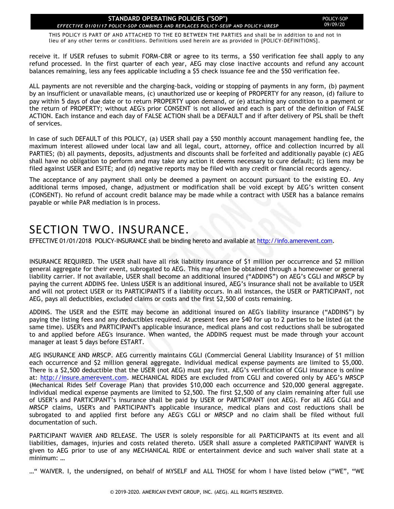THIS POLICY IS PART OF AND ATTACHED TO THE EO BETWEEN THE PARTIES and shall be in addition to and not in lieu of any other terms or conditions. Definitions used herein are as provided in [POLICY-DEFINITIONS].

receive it. If USER refuses to submit FORM-CBR or agree to its terms, a \$50 verification fee shall apply to any refund processed. In the first quarter of each year, AEG may close inactive accounts and refund any account balances remaining, less any fees applicable including a \$5 check issuance fee and the \$50 verification fee.

ALL payments are not reversible and the charging-back, voiding or stopping of payments in any form, (b) payment by an insufficient or unavailable means, (c) unauthorized use or keeping of PROPERTY for any reason, (d) failure to pay within 5 days of due date or to return PROPERTY upon demand, or (e) attaching any condition to a payment or the return of PROPERTY; without AEG's prior CONSENT is not allowed and each is part of the definition of FALSE ACTION. Each instance and each day of FALSE ACTION shall be a DEFAULT and if after delivery of PSL shall be theft of services.

In case of such DEFAULT of this POLICY, (a) USER shall pay a \$50 monthly account management handling fee, the maximum interest allowed under local law and all legal, court, attorney, office and collection incurred by all PARTIES; (b) all payments, deposits, adjustments and discounts shall be forfeited and additionally payable (c) AEG shall have no obligation to perform and may take any action it deems necessary to cure default; (c) liens may be filed against USER and ESITE; and (d) negative reports may be filed with any credit or financial records agency.

The acceptance of any payment shall only be deemed a payment on account pursuant to the existing EO. Any additional terms imposed, change, adjustment or modification shall be void except by AEG's written consent (CONSENT). No refund of account credit balance may be made while a contract with USER has a balance remains payable or while PAR mediation is in process.

### <span id="page-2-0"></span>SECTION TWO. INSURANCE.

EFFECTIVE 01/01/2018 POLICY-INSURANCE shall be binding hereto and available a[t http://info.amerevent.com.](http://info.amerevent.com/)

INSURANCE REQUIRED. The USER shall have all risk liability insurance of \$1 million per occurrence and \$2 million general aggregate for their event, subrogated to AEG. This may often be obtained through a homeowner or general liability carrier. If not available, USER shall become an additional insured ("ADDINS") on AEG's CGLI and MRSCP by paying the current ADDINS fee. Unless USER is an additional insured, AEG's insurance shall not be available to USER and will not protect USER or its PARTICIPANTS if a liability occurs. In all instances, the USER or PARTICIPANT, not AEG, pays all deductibles, excluded claims or costs and the first \$2,500 of costs remaining.

ADDINS. The USER and the ESITE may become an additional insured on AEG's liability insurance ("ADDINS") by paying the listing fees and any deductibles required. At present fees are \$40 for up to 2 parties to be listed (at the same time). USER's and PARTICIPANT's applicable insurance, medical plans and cost reductions shall be subrogated to and applied before AEG's insurance. When wanted, the ADDINS request must be made through your account manager at least 5 days before ESTART.

AEG INSURANCE AND MRSCP. AEG currently maintains CGLI (Commercial General Liability Insurance) of \$1 million each occurrence and \$2 million general aggregate. Individual medical expense payments are limited to \$5,000. There is a \$2,500 deductible that the USER (not AEG) must pay first. AEG's verification of CGLI insurance is online at: [http://insure.amerevent.com](http://insure.amerevent.com/). MECHANICAL RIDES are excluded from CGLI and covered only by AEG's MRSCP (Mechanical Rides Self Coverage Plan) that provides \$10,000 each occurrence and \$20,000 general aggregate. Individual medical expense payments are limited to \$2,500. The first \$2,500 of any claim remaining after full use of USER's and PARTICIPANT's insurance shall be paid by USER or PARTICIPANT (not AEG). For all AEG CGLI and MRSCP claims, USER's and PARTICIPANT's applicable insurance, medical plans and cost reductions shall be subrogated to and applied first before any AEG's CGLI or MRSCP and no claim shall be filed without full documentation of such.

PARTICIPANT WAVIER AND RELEASE. The USER is solely responsible for all PARTICIPANTS at its event and all liabilities, damages, injuries and costs related thereto. USER shall assure a completed PARTICIPANT WAIVER is given to AEG prior to use of any MECHANICAL RIDE or entertainment device and such waiver shall state at a minimum: …

…" WAIVER. I, the undersigned, on behalf of MYSELF and ALL THOSE for whom I have listed below ("WE", "WE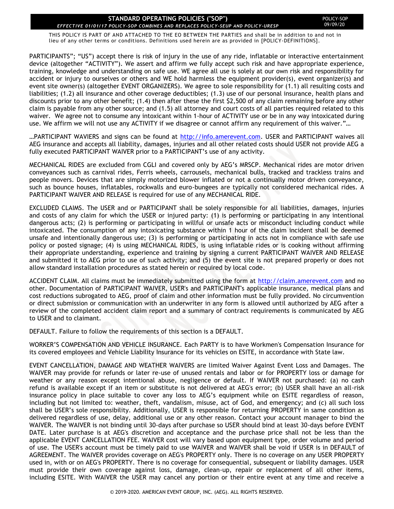THIS POLICY IS PART OF AND ATTACHED TO THE EO BETWEEN THE PARTIES and shall be in addition to and not in lieu of any other terms or conditions. Definitions used herein are as provided in [POLICY-DEFINITIONS].

PARTICIPANTS"; "US") accept there is risk of injury in the use of any ride, inflatable or interactive entertainment device (altogether "ACTIVITY"). We assert and affirm we fully accept such risk and have appropriate experience, training, knowledge and understanding on safe use. WE agree all use is solely at our own risk and responsibility for accident or injury to ourselves or others and WE hold harmless the equipment provider(s), event organizer(s) and event site owner(s) (altogether EVENT ORGANIZERS). We agree to sole responsibility for (1.1) all resulting costs and liabilities; (1.2) all insurance and other coverage deductibles; (1.3) use of our personal insurance, health plans and discounts prior to any other benefit; (1.4) then after these the first \$2,500 of any claim remaining before any other claim is payable from any other source; and (1.5) all attorney and court costs of all parties required related to this waiver. We agree not to consume any intoxicant within 1-hour of ACTIVITY use or be in any way intoxicated during use. We affirm we will not use any ACTIVITY if we disagree or cannot affirm any requirement of this waiver."…

...PARTICIPANT WAVIERS and signs can be found at [http://info.amerevent.com.](http://info.amerevent.com/) USER and PARTICIPANT waives all AEG insurance and accepts all liability, damages, injuries and all other related costs should USER not provide AEG a fully executed PARTICIPANT WAIVER prior to a PARTICIPANT's use of any activity.

MECHANICAL RIDES are excluded from CGLI and covered only by AEG's MRSCP. Mechanical rides are motor driven conveyances such as carnival rides, Ferris wheels, carrousels, mechanical bulls, tracked and trackless trains and people movers. Devices that are simply motorized blower inflated or not a continually motor driven conveyance, such as bounce houses, inflatables, rockwalls and euro-bungees are typically not considered mechanical rides. A PARTICIPANT WAIVER AND RELEASE is required for use of any MECHANICAL RIDE.

EXCLUDED CLAIMS. The USER and or PARTICIPANT shall be solely responsible for all liabilities, damages, injuries and costs of any claim for which the USER or injured party: (1) is performing or participating in any intentional dangerous acts; (2) is performing or participating in willful or unsafe acts or misconduct including conduct while intoxicated. The consumption of any intoxicating substance within 1 hour of the claim incident shall be deemed unsafe and intentionally dangerous use; (3) is performing or participating in acts not in compliance with safe use policy or posted signage; (4) is using MECHANICAL RIDES, is using inflatable rides or is cooking without affirming their appropriate understanding, experience and training by signing a current PARTICIPANT WAIVER AND RELEASE and submitted it to AEG prior to use of such activity; and (5) the event site is not prepared properly or does not allow standard installation procedures as stated herein or required by local code.

ACCIDENT CLAIM. All claims must be immediately submitted using the form at [http://claim.amerevent.com](http://claim.amerevent.com/) and no other. Documentation of PARTICIPANT WAIVER, USER's and PARTICIPANT's applicable insurance, medical plans and cost reductions subrogated to AEG, proof of claim and other information must be fully provided. No circumvention or direct submission or communication with an underwriter in any form is allowed until authorized by AEG after a review of the completed accident claim report and a summary of contract requirements is communicated by AEG to USER and to claimant.

DEFAULT. Failure to follow the requirements of this section is a DEFAULT.

WORKER'S COMPENSATION AND VEHICLE INSURANCE. Each PARTY is to have Workmen's Compensation Insurance for its covered employees and Vehicle Liability Insurance for its vehicles on ESITE, in accordance with State law.

EVENT CANCELLATION, DAMAGE AND WEATHER WAIVERS are limited Waiver Against Event Loss and Damages. The WAIVER may provide for refunds or later re-use of unused rentals and labor or for PROPERTY loss or damage for weather or any reason except intentional abuse, negligence or default. If WAIVER not purchased: (a) no cash refund is available except if an item or substitute is not delivered at AEG's error; (b) USER shall have an all-risk insurance policy in place suitable to cover any loss to AEG's equipment while on ESITE regardless of reason, including but not limited to: weather, theft, vandalism, misuse, act of God, and emergency; and (c) all such loss shall be USER's sole responsibility. Additionally, USER is responsible for returning PROPERTY in same condition as delivered regardless of use, delay, additional use or any other reason. Contact your account manager to bind the WAIVER. The WAIVER is not binding until 30-days after purchase so USER should bind at least 30-days before EVENT DATE. Later purchase is at AEG's discretion and acceptance and the purchase price shall not be less than the applicable EVENT CANCELLATION FEE. WAIVER cost will vary based upon equipment type, order volume and period of use. The USER's account must be timely paid to use WAIVER and WAIVER shall be void if USER is in DEFAULT of AGREEMENT. The WAIVER provides coverage on AEG's PROPERTY only. There is no coverage on any USER PROPERTY used in, with or on AEG's PROPERTY. There is no coverage for consequential, subsequent or liability damages. USER must provide their own coverage against loss, damage, clean-up, repair or replacement of all other items, including ESITE. With WAIVER the USER may cancel any portion or their entire event at any time and receive a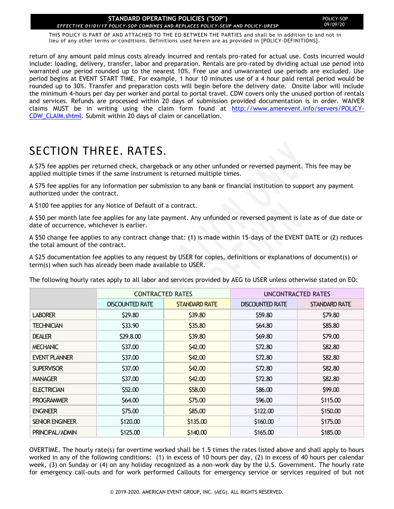THIS POLICY IS PART OF AND ATTACHED TO THE EO BETWEEN THE PARTIES and shall be in addition to and not in lieu of any other terms or conditions. Definitions used herein are as provided in [POLICY-DEFINITIONS].

return of any amount paid minus costs already incurred and rentals pro-rated for actual use. Costs incurred would include: loading, delivery, transfer, labor and preparation. Rentals are pro-rated by dividing actual use period into warranted use period rounded up to the nearest 10%. Free use and unwarranted use periods are excluded. Use period begins at EVENT START TIME. For example, 1 hour 10 minutes use of a 4 hour paid rental period would be rounded up to 30%. Transfer and preparation costs will begin before the delivery date. Onsite labor will include the minimum 4-hours per day per worker and portal to portal travel. CDW covers only the unused portion of rentals and services. Refunds are processed within 20 days of submission provided documentation is in order. WAIVER claims MUST be in writing using the claim form found at [http://www.amerevent.info/servers/POLICY-](http://www.amerevent.info/servers/POLICY-CDW_CLAIM.shtml)[CDW\\_CLAIM.shtml.](http://www.amerevent.info/servers/POLICY-CDW_CLAIM.shtml) Submit within 20 days of claim or cancellation.

# <span id="page-4-0"></span>SECTION THREE. RATES.

A \$75 fee applies per returned check, chargeback or any other unfunded or reversed payment. This fee may be applied multiple times if the same instrument is returned multiple times.

A \$75 fee applies for any information per submission to any bank or financial institution to support any payment authorized under the contract.

A \$100 fee applies for any Notice of Default of a contract.

A \$50 per month late fee applies for any late payment. Any unfunded or reversed payment is late as of due date or date of occurrence, whichever is earlier.

A \$50 change fee applies to any contract change that: (1) is made within 15-days of the EVENT DATE or (2) reduces the total amount of the contract.

A \$25 documentation fee applies to any request by USER for copies, definitions or explanations of document(s) or term(s) when such has already been made available to USER.

| The following hourly rates apply to all labor and services provided by AEG to USER unless otherwise stated on EO: |  |  |
|-------------------------------------------------------------------------------------------------------------------|--|--|
|-------------------------------------------------------------------------------------------------------------------|--|--|

|                        | <b>CONTRACTED RATES</b> |                      | UNCONTRACTED RATES     |               |
|------------------------|-------------------------|----------------------|------------------------|---------------|
|                        | <b>DISCOUNTED RATE</b>  | <b>STANDARD RATE</b> | <b>DISCOUNTED RATE</b> | STANDARD RATE |
| <b>LABORER</b>         | \$29.80                 | \$39.80              | \$59.80                | \$79.80       |
| <b>TECHNICIAN</b>      | \$33.90                 | \$35.80              | \$64.80                | \$85.80       |
| <b>DEALER</b>          | \$29.8.00               | \$39.80              | \$69.80                | \$79.00       |
| <b>MECHANIC</b>        | \$37.00                 | \$42.00              | \$72.80                | \$82.80       |
| <b>EVENT PLANNER</b>   | \$37.00                 | \$42.00              | \$72.80                | \$82.80       |
| <b>SUPERVISOR</b>      | \$37.00                 | \$42.00              | \$72.80                | \$82.80       |
| <b>MANAGER</b>         | \$37.00                 | \$42.00              | \$72.80                | \$82.80       |
| <b>ELECTRICIAN</b>     | \$52.00                 | \$58.00              | \$86.00                | \$99.00       |
| <b>PROGRAMMER</b>      | \$64.00                 | \$75.00              | \$96.00                | \$115.00      |
| <b>ENGINEER</b>        | \$75.00                 | \$85.00              | \$122.00               | \$150.00      |
| <b>SENIOR ENGINEER</b> | \$120.00                | \$135.00             | \$160.00               | \$175.00      |
| PRINCIPAL/ADMIN        | \$125.00                | \$140.00             | \$165.00               | \$185.00      |

OVERTIME. The hourly rate(s) for overtime worked shall be 1.5 times the rates listed above and shall apply to hours worked in any of the following conditions: (1) in excess of 10 hours per day, (2) in excess of 40 hours per calendar week, (3) on Sunday or (4) on any holiday recognized as a non-work day by the U.S. Government. The hourly rate for emergency call-outs and for work performed Callouts for emergency service or services required of but not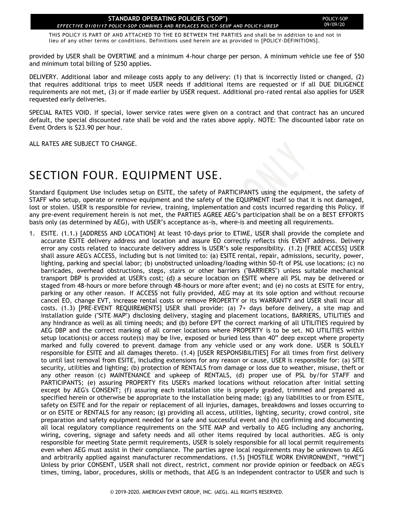THIS POLICY IS PART OF AND ATTACHED TO THE EO BETWEEN THE PARTIES and shall be in addition to and not in lieu of any other terms or conditions. Definitions used herein are as provided in [POLICY-DEFINITIONS].

provided by USER shall be OVERTIME and a minimum 4-hour charge per person. A minimum vehicle use fee of \$50 and minimum total billing of \$250 applies.

DELIVERY. Additional labor and mileage costs apply to any delivery: (1) that is incorrectly listed or changed, (2) that requires additional trips to meet USER needs if additional items are requested or if all DUE DILIGENCE requirements are not met, (3) or if made earlier by USER request. Additional pro-rated rental also applies for USER requested early deliveries.

SPECIAL RATES VOID. If special, lower service rates were given on a contract and that contract has an uncured default, the special discounted rate shall be void and the rates above apply. NOTE: The discounted labor rate on Event Orders is \$23.90 per hour.

ALL RATES ARE SUBJECT TO CHANGE.

### SECTION FOUR. EQUIPMENT USE.

Standard Equipment Use includes setup on ESITE, the safety of PARTICIPANTS using the equipment, the safety of STAFF who setup, operate or remove equipment and the safety of the EQUIPMENT itself so that it is not damaged, lost or stolen. USER is responsible for review, training, implementation and costs incurred regarding this Policy. If any pre-event requirement herein is not met, the PARTIES AGREE AEG's participation shall be on a BEST EFFORTS basis only (as determined by AEG), with USER's acceptance as-is, where-is and meeting all requirements.

1. ESITE. (1.1.) [ADDRESS AND LOCATION] At least 10-days prior to ETIME, USER shall provide the complete and accurate ESITE delivery address and location and assure EO correctly reflects this EVENT address. Delivery error any costs related to inaccurate delivery address is USER's sole responsibility. (1.2) [FREE ACCESS] USER shall assure AEG's ACCESS, including but is not limited to: (a) ESITE rental, repair, admissions, security, power, lighting, parking and special labor; (b) unobstructed unloading/loading within 50-ft of PSL use locations; (c) no barricades, overhead obstructions, steps, stairs or other barriers ("BARRIERS") unless suitable mechanical transport DBP is provided at USER's cost; (d) a secure location on ESITE where all PSL may be delivered or staged from 48-hours or more before through 48-hours or more after event; and (e) no costs at ESITE for entry, parking or any other reason. If ACCESS not fully provided, AEG may at its sole option and without recourse cancel EO, change EVT, increase rental costs or remove PROPERTY or its WARRANTY and USER shall incur all costs. (1.3) [PRE-EVENT REQUIREMENTS] USER shall provide: (a) 7+ days before delivery, a site map and installation guide ("SITE MAP") disclosing delivery, staging and placement locations, BARRIERS, UTILITIES and any hindrance as well as all timing needs; and (b) before EPT the correct marking of all UTILITIES required by AEG DBP and the correct marking of all corner locations where PROPERTY is to be set. NO UTILITIES within setup location(s) or access route(s) may be live, exposed or buried less than 40" deep except where property marked and fully covered to prevent damage from any vehicle used or any work done. USER is SOLELY responsible for ESITE and all damages thereto. (1.4) [USER RESPONSIBILITIES] For all times from first delivery to until last removal from ESITE, including extensions for any reason or cause, USER is responsible for: (a) SITE security, utilities and lighting; (b) protection of RENTALS from damage or loss due to weather, misuse, theft or any other reason (c) MAINTENANCE and upkeep of RENTALS, (d) proper use of PSL by/for STAFF and PARTICIPANTS; (e) assuring PROPERTY fits USER's marked locations without relocation after initial setting except by AEG's CONSENT; (f) assuring each installation site is properly graded, trimmed and prepared as specified herein or otherwise be appropriate to the installation being made; (g) any liabilities to or from ESITE, safety on ESITE and for the repair or replacement of all injuries, damages, breakdowns and losses occurring to or on ESITE or RENTALS for any reason; (g) providing all access, utilities, lighting, security, crowd control, site preparation and safety equipment needed for a safe and successful event and (h) confirming and documenting all local regulatory compliance requirements on the SITE MAP and verbally to AEG including any anchoring, wiring, covering, signage and safety needs and all other items required by local authorities. AEG is only responsible for meeting State permit requirements, USER is solely responsible for all local permit requirements even when AEG must assist in their compliance. The parties agree local requirements may be unknown to AEG and arbitrarily applied against manufacturer recommendations. (1.5) [HOSTILE WORK ENVIRONMENT, "HWE"] Unless by prior CONSENT, USER shall not direct, restrict, comment nor provide opinion or feedback on AEG's times, timing, labor, procedures, skills or methods, that AEG is an independent contractor to USER and such is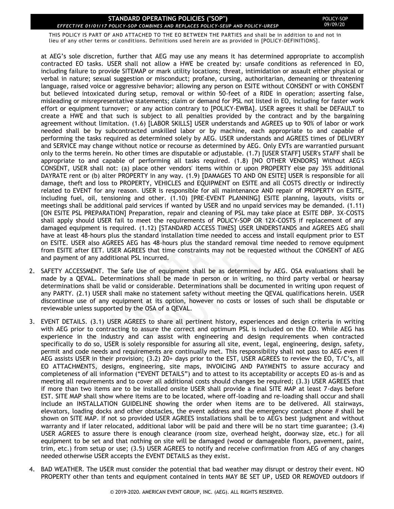THIS POLICY IS PART OF AND ATTACHED TO THE EO BETWEEN THE PARTIES and shall be in addition to and not in lieu of any other terms or conditions. Definitions used herein are as provided in [POLICY-DEFINITIONS].

at AEG's sole discretion, further that AEG may use any means it has determined appropriate to accomplish contracted EO tasks. USER shall not allow a HWE be created by: unsafe conditions as referenced in EO, including failure to provide SITEMAP or mark utility locations; threat, intimidation or assault either physical or verbal in nature; sexual suggestion or misconduct; profane, cursing, authoritarian, demeaning or threatening language, raised voice or aggressive behavior; allowing any person on ESITE without CONSENT or with CONSENT but believed intoxicated during setup, removal or within 50-feet of a RIDE in operation; asserting false, misleading or misrepresentative statements; claim or demand for PSL not listed in EO, including for faster work effort or equipment turnover; or any action contrary to [POLICY-EWBA]. USER agrees it shall be DEFAULT to create a HWE and that such is subject to all penalties provided by the contract and by the bargaining agreement without limitation. (1.6) [LABOR SKILLS] USER understands and AGREES up to 90% of labor or work needed shall be by subcontracted unskilled labor or by machine, each appropriate to and capable of performing the tasks required as determined solely by AEG. USER understands and AGREES times of DELIVERY and SERVICE may change without notice or recourse as determined by AEG. Only EVTs are warrantied pursuant only to the terms herein. No other times are disputable or adjustable. (1.7) [USER STAFF] USER's STAFF shall be appropriate to and capable of performing all tasks required. (1.8) [NO OTHER VENDORS] Without AEG's CONSENT, USER shall not: (a) place other vendors' items within or upon PROPERTY else pay 35% additional DAYRATE rent or (b) alter PROPERTY in any way. (1.9) [DAMAGES TO AND ON ESITE] USER is responsible for all damage, theft and loss to PROPERTY, VEHICLES and EQUIPMENT on ESITE and all COSTS directly or indirectly related to EVENT for any reason. USER is responsible for all maintenance AND repair of PROPERTY on ESITE, including fuel, oil, tensioning and other. (1.10) [PRE-EVENT PLANNING] ESITE planning, layouts, visits or meetings shall be additional paid services if wanted by USER and no unpaid services may be demanded. (1.11) [ON ESITE PSL PREPARATION] Preparation, repair and cleaning of PSL may take place at ESITE DBP. 3X-COSTS shall apply should USER fail to meet the requirements of POLICY-SOP OR 12X-COSTS if replacement of any damaged equipment is required. (1.12) [STANDARD ACCESS TIMES] USER UNDERSTANDS and AGREES AEG shall have at least 48-hours plus the standard installation time needed to access and install equipment prior to EST on ESITE. USER also AGREES AEG has 48-hours plus the standard removal time needed to remove equipment from ESITE after EET. USER AGREES that time constraints may not be requested without the CONSENT of AEG and payment of any additional PSL incurred.

- 2. SAFETY ACCESSMENT. The Safe Use of equipment shall be as determined by AEG. OSA evaluations shall be made by a QEVAL. Determinations shall be made in person or in writing, no third party verbal or hearsay determinations shall be valid or considerable. Determinations shall be documented in writing upon request of any PARTY. (2.1) USER shall make no statement safety without meeting the QEVAL qualifications herein. USER discontinue use of any equipment at its option, however no costs or losses of such shall be disputable or reviewable unless supported by the OSA of a QEVAL.
- 3. EVENT DETAILS. (3.1) USER AGREES to share all pertinent history, experiences and design criteria in writing with AEG prior to contracting to assure the correct and optimum PSL is included on the EO. While AEG has experience in the industry and can assist with engineering and design requirements when contracted specifically to do so, USER is solely responsible for assuring all site, event, legal, engineering, design, safety, permit and code needs and requirements are continually met. This responsibility shall not pass to AEG even if AEG assists USER in their provision; (3.2) 20+ days prior to the EST, USER AGREES to review the EO, T/C's, all EO ATTACHMENTS, designs, engineering, site maps, INVOICING AND PAYMENTS to assure accuracy and completeness of all information ("EVENT DETAILS") and to attest to its acceptability or accepts EO as-is and as meeting all requirements and to cover all additional costs should changes be required; (3.3) USER AGREES that if more than two items are to be installed onsite USER shall provide a final SITE MAP at least 7-days before EST. SITE MAP shall show where items are to be located, where off-loading and re-loading shall occur and shall include an INSTALLATION GUIDELINE showing the order when items are to be delivered. All stairways, elevators, loading docks and other obstacles, the event address and the emergency contact phone # shall be shown on SITE MAP. If not so provided USER AGREES installations shall be to AEG's best judgment and without warranty and if later relocated, additional labor will be paid and there will be no start time guarantee; (3.4) USER AGREES to assure there is enough clearance (room size, overhead height, doorway size, etc.) for all equipment to be set and that nothing on site will be damaged (wood or damageable floors, pavement, paint, trim, etc.) from setup or use; (3.5) USER AGREES to notify and receive confirmation from AEG of any changes needed otherwise USER accepts the EVENT DETAILS as they exist.
- 4. BAD WEATHER. The USER must consider the potential that bad weather may disrupt or destroy their event. NO PROPERTY other than tents and equipment contained in tents MAY BE SET UP, USED OR REMOVED outdoors if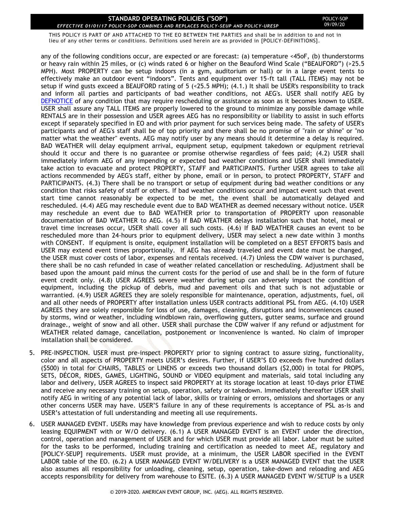THIS POLICY IS PART OF AND ATTACHED TO THE EO BETWEEN THE PARTIES and shall be in addition to and not in lieu of any other terms or conditions. Definitions used herein are as provided in [POLICY-DEFINITIONS].

any of the following conditions occur, are expected or are forecast: (a) temperature <45oF, (b) thunderstorms or heavy rain within 25 miles, or (c) winds rated 6 or higher on the Beauford Wind Scale ("BEAUFORD") (>25.5 MPH). Most PROPERTY can be setup indoors (in a gym, auditorium or hall) or in a large event tents to effectively make an outdoor event "indoors". Tents and equipment over 15-ft tall (TALL ITEMS) may not be setup if wind gusts exceed a BEAUFORD rating of 5 (<25.5 MPH); (4.1.) It shall be USER's responsibility to track and inform all parties and participants of bad weather conditions, not AEG's. USER shall notify AEG by [DEFNOTICE](#page-20-1) of any condition that may require rescheduling or assistance as soon as it becomes known to USER. USER shall assure any TALL ITEMS are properly lowered to the ground to minimize any possible damage while RENTALS are in their possession and USER agrees AEG has no responsibility or liability to assist in such efforts except if separately specified in EO and with prior payment for such services being made. The safety of USER's participants and of AEG's staff shall be of top priority and there shall be no promise of "rain or shine" or "no matter what the weather" events. AEG may notify user by any means should it determine a delay is required. BAD WEATHER will delay equipment arrival, equipment setup, equipment takedown or equipment retrieval should it occur and there is no guarantee or promise otherwise regardless of fees paid; (4.2) USER shall immediately inform AEG of any impending or expected bad weather conditions and USER shall immediately take action to evacuate and protect PROPERTY, STAFF and PARTICIPANTS. Further USER agrees to take all actions recommended by AEG's staff, either by phone, email or in person, to protect PROPERTY, STAFF and PARTICIPANTS. (4.3) There shall be no transport or setup of equipment during bad weather conditions or any condition that risks safety of staff or others. If bad weather conditions occur and impact event such that event start time cannot reasonably be expected to be met, the event shall be automatically delayed and rescheduled. (4.4) AEG may reschedule event due to BAD WEATHER as deemed necessary without notice. USER may reschedule an event due to BAD WEATHER prior to transportation of PROPERTY upon reasonable documentation of BAD WEATHER to AEG. (4.5) If BAD WEATHER delays installation such that hotel, meal or travel time increases occur, USER shall cover all such costs. (4.6) If BAD WEATHER causes an event to be rescheduled more than 24-hours prior to equipment delivery, USER may select a new date within 3 months with CONSENT. If equipment is onsite, equipment installation will be completed on a BEST EFFORTS basis and USER may extend event times proportionally. If AEG has already traveled and event date must be changed, the USER must cover costs of labor, expenses and rentals received. (4.7) Unless the CDW waiver is purchased, there shall be no cash refunded in case of weather related cancellation or rescheduling. Adjustment shall be based upon the amount paid minus the current costs for the period of use and shall be in the form of future event credit only. (4.8) USER AGREES severe weather during setup can adversely impact the condition of equipment, including the pickup of debris, mud and pavement oils and that such is not adjustable or warrantied. (4.9) USER AGREES they are solely responsible for maintenance, operation, adjustments, fuel, oil and all other needs of PROPERTY after installation unless USER contracts additional PSL from AEG. (4.10) USER AGREES they are solely responsible for loss of use, damages, cleaning, disruptions and inconveniences caused by storms, wind or weather, including windblown rain, overflowing gutters, gutter seams, surface and ground drainage., weight of snow and all other. USER shall purchase the CDW waiver if any refund or adjustment for WEATHER related damage, cancellation, postponement or inconvenience is wanted. No claim of improper installation shall be considered.

- 5. PRE-INSPECTION. USER must pre-inspect PROPERTY prior to signing contract to assure sizing, functionality, color and all aspects of PROPERTY meets USER's desires. Further, if USER'S EO exceeds five hundred dollars (\$500) in total for CHAIRS, TABLES or LINENS or exceeds two thousand dollars (\$2,000) in total for PROPS, SETS, DÉCOR, RIDES, GAMES, LIGHTING, SOUND or VIDEO equipment and materials, said total including any labor and delivery, USER AGREES to inspect said PROPERTY at its storage location at least 10-days prior ETIME and receive any necessary training on setup, operation, safety or takedown. Immediately thereafter USER shall notify AEG in writing of any potential lack of labor, skills or training or errors, omissions and shortages or any other concerns USER may have. USER'S failure in any of these requirements is acceptance of PSL as-is and USER's attestation of full understanding and meeting all use requirements.
- 6. USER MANAGED EVENT. USERs may have knowledge from previous experience and wish to reduce costs by only leasing EQUIPMENT with or W/O delivery. (6.1) A USER MANAGED EVENT is an EVENT under the direction, control, operation and management of USER and for which USER must provide all labor. Labor must be suited for the tasks to be performed, including training and certification as needed to meet AE, regulatory and [POLICY-SEUP] requirements. USER must provide, at a minimum, the USER LABOR specified in the EVENT LABOR table of the EO. (6.2) A USER MANAGED EVENT W/DELIVERY is a USER MANAGED EVENT that the USER also assumes all responsibility for unloading, cleaning, setup, operation, take-down and reloading and AEG accepts responsibility for delivery from warehouse to ESITE. (6.3) A USER MANAGED EVENT W/SETUP is a USER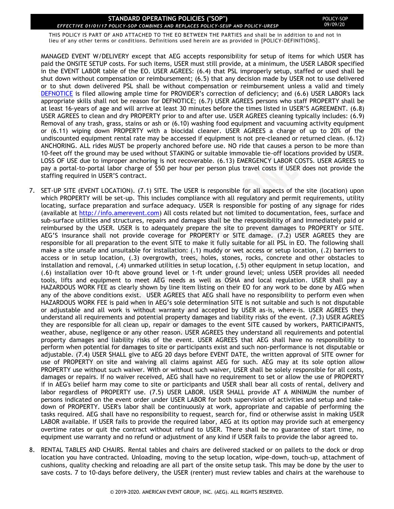THIS POLICY IS PART OF AND ATTACHED TO THE EO BETWEEN THE PARTIES and shall be in addition to and not in lieu of any other terms or conditions. Definitions used herein are as provided in [POLICY-DEFINITIONS].

MANAGED EVENT W/DELIVERY except that AEG accepts responsibility for setup of items for which USER has paid the ONSITE SETUP costs. For such items, USER must still provide, at a minimum, the USER LABOR specified in the EVENT LABOR table of the EO. USER AGREES: (6.4) that PSL improperly setup, staffed or used shall be shut down without compensation or reimbursement; (6.5) that any decision made by USER not to use delivered or to shut down delivered PSL shall be without compensation or reimbursement unless a valid and timely [DEFNOTICE](#page-20-1) is filed allowing ample time for PROVIDER's correction of deficiency; and (6.6) USER LABOR's lack appropriate skills shall not be reason for DEFNOTICE; (6.7) USER AGREES persons who staff PROPERTY shall be at least 16-years of age and will arrive at least 30 minutes before the times listed in USER'S AGREEMENT. (6.8) USER AGREES to clean and dry PROPERTY prior to and after use. USER AGREES cleaning typically includes: (6.9) Removal of any trash, grass, stains or ash or (6.10) washing food equipment and vacuuming activity equipment or (6.11) wiping down PROPERTY with a biocidal cleaner. USER AGREES a charge of up to 20% of the undiscounted equipment rental rate may be accessed if equipment is not pre-cleaned or returned clean. (6.12) ANCHORING. ALL rides MUST be properly anchored before use. NO ride that causes a person to be more than 10-feet off the ground may be used without STAKING or suitable immovable tie-off locations provided by USER. LOSS OF USE due to improper anchoring is not recoverable. (6.13) EMERGENCY LABOR COSTS. USER AGREES to pay a portal-to-portal labor charge of \$50 per hour per person plus travel costs if USER does not provide the staffing required in USER'S contract.

- 7. SET-UP SITE (EVENT LOCATION). (7.1) SITE. The USER is responsible for all aspects of the site (location) upon which PROPERTY will be set-up. This includes compliance with all regulatory and permit requirements, utility locating, surface preparation and surface adequacy. USER is responsible for posting of any signage for rides (available at [http://info.amerevent.com\)](http://info.amerevent.com/) All costs related but not limited to documentation, fees, surface and sub-surface utilities and structures, repairs and damages shall be the responsibility of and immediately paid or reimbursed by the USER. USER is to adequately prepare the site to prevent damages to PROPERTY or SITE. AEG'S insurance shall not provide coverage for PROPERTY or SITE damage. (7.2) USER AGREES they are responsible for all preparation to the event SITE to make it fully suitable for all PSL in EO. The following shall make a site unsafe and unsuitable for installation: (.1) muddy or wet access or setup location, (.2) barriers to access or in setup location, (.3) overgrowth, trees, holes, stones, rocks, concrete and other obstacles to installation and removal, (.4) unmarked utilities in setup location, (.5) other equipment in setup location, and (.6) installation over 10-ft above ground level or 1-ft under ground level; unless USER provides all needed tools, lifts and equipment to meet AEG needs as well as OSHA and local regulation. USER shall pay a HAZARDOUS WORK FEE as clearly shown by line item listing on their EO for any work to be done by AEG when any of the above conditions exist. USER AGREES that AEG shall have no responsibility to perform even when HAZARDOUS WORK FEE is paid when in AEG's sole determination SITE is not suitable and such is not disputable or adjustable and all work is without warranty and accepted by USER as-is, where-is. USER AGREES they understand all requirements and potential property damages and liability risks of the event. (7.3) USER AGREES they are responsible for all clean up, repair or damages to the event SITE caused by workers, PARTICIPANTS, weather, abuse, negligence or any other reason. USER AGREES they understand all requirements and potential property damages and liability risks of the event. USER AGREES that AEG shall have no responsibility to perform when potential for damages to site or participants exist and such non-performance is not disputable or adjustable. (7.4) USER SHALL give to AEG 20 days before EVENT DATE, the written approval of SITE owner for use of PROPERTY on site and waiving all claims against AEG for such. AEG may at its sole option allow PROPERTY use without such waiver. With or without such waiver, USER shall be solely responsible for all costs, damages or repairs. If no waiver received, AEG shall have no requirement to set or allow the use of PROPERTY if in AEG's belief harm may come to site or participants and USER shall bear all costs of rental, delivery and labor regardless of PROPERTY use. (7.5) USER LABOR. USER SHALL provide AT A MINIMUM the number of persons indicated on the event order under USER LABOR for both supervision of activities and setup and takedown of PROPERTY. USER's labor shall be continuously at work, appropriate and capable of performing the tasks required. AEG shall have no responsibility to request, search for, find or otherwise assist in making USER LABOR available. If USER fails to provide the required labor, AEG at its option may provide such at emergency overtime rates or quit the contract without refund to USER. There shall be no guarantee of start time, no equipment use warranty and no refund or adjustment of any kind if USER fails to provide the labor agreed to.
- 8. RENTAL TABLES AND CHAIRS. Rental tables and chairs are delivered stacked or on pallets to the dock or drop location you have contracted. Unloading, moving to the setup location, wipe-down, touch-up, attachment of cushions, quality checking and reloading are all part of the onsite setup task. This may be done by the user to save costs. 7 to 10-days before delivery, the USER (renter) must review tables and chairs at the warehouse to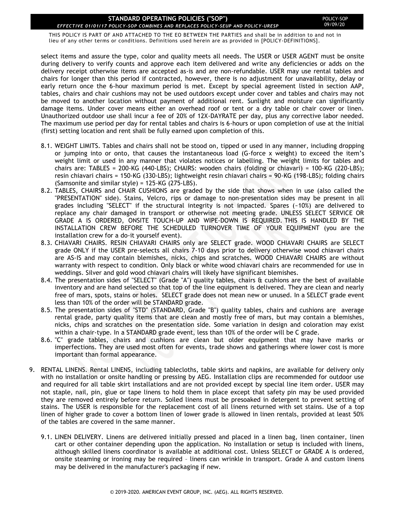THIS POLICY IS PART OF AND ATTACHED TO THE EO BETWEEN THE PARTIES and shall be in addition to and not in lieu of any other terms or conditions. Definitions used herein are as provided in [POLICY-DEFINITIONS].

select items and assure the type, color and quality meets all needs. The USER or USER AGENT must be onsite during delivery to verify counts and approve each item delivered and write any deficiencies or adds on the delivery receipt otherwise items are accepted as-is and are non-refundable. USER may use rental tables and chairs for longer than this period if contracted, however, there is no adjustment for unavailability, delay or early return once the 6-hour maximum period is met. Except by special agreement listed in section AAP, tables, chairs and chair cushions may not be used outdoors except under cover and tables and chairs may not be moved to another location without payment of additional rent. Sunlight and moisture can significantly damage items. Under cover means either an overhead roof or tent or a dry table or chair cover or linen. Unauthorized outdoor use shall incur a fee of 20% of 12X-DAYRATE per day, plus any corrective labor needed. The maximum use period per day for rental tables and chairs is 6-hours or upon completion of use at the initial (first) setting location and rent shall be fully earned upon completion of this.

- 8.1. WEIGHT LIMITS. Tables and chairs shall not be stood on, tipped or used in any manner, including dropping or jumping into or onto, that causes the instantaneous load (G-force x weight) to exceed the item's weight limit or used in any manner that violates notices or labelling. The weight limits for tables and chairs are: TABLES = 200-KG (440-LBS); CHAIRS: wooden chairs (folding or chiavari) = 100-KG (220-LBS); resin chiavari chairs = 150-KG (330-LBS); lightweight resin chiavari chairs = 90-KG (198-LBS); folding chairs (Samsonite and similar style) = 125-KG (275-LBS).
- 8.2. TABLES, CHAIRS and CHAIR CUSHIONS are graded by the side that shows when in use (also called the "PRESENTATION" side). Stains, Velcro, rips or damage to non-presentation sides may be present in all grades including "SELECT" if the structural integrity is not impacted. Spares (~10%) are delivered to replace any chair damaged in transport or otherwise not meeting grade. UNLESS SELECT SERVICE OR GRADE A IS ORDERED, ONSITE TOUCH-UP AND WIPE-DOWN IS REQUIRED. THIS IS HANDLED BY THE INSTALLATION CREW BEFORE THE SCHEDULED TURNOVER TIME OF YOUR EQUIPMENT (you are the installation crew for a do-it yourself event).
- 8.3. CHIAVARI CHAIRS. RESIN CHIAVARI CHAIRS only are SELECT grade. WOOD CHIAVARI CHAIRS are SELECT grade ONLY if the USER pre-selects all chairs 7-10 days prior to delivery otherwise wood chiavari chairs are AS-IS and may contain blemishes, nicks, chips and scratches. WOOD CHIAVARI CHAIRS are without warranty with respect to condition. Only black or white wood chiavari chairs are recommended for use in weddings. Silver and gold wood chiavari chairs will likely have significant blemishes.
- 8.4. The presentation sides of "SELECT" (Grade "A") quality tables, chairs & cushions are the best of available inventory and are hand selected so that top of the line equipment is delivered. They are clean and nearly free of mars, spots, stains or holes. SELECT grade does not mean new or unused. In a SELECT grade event less than 10% of the order will be STANDARD grade.
- 8.5. The presentation sides of "STD" (STANDARD, Grade "B") quality tables, chairs and cushions are average rental grade, party quality items that are clean and mostly free of mars, but may contain a blemishes, nicks, chips and scratches on the presentation side. Some variation in design and coloration may exist within a chair-type. In a STANDARD grade event, less than 10% of the order will be C grade.
- 8.6. "C" grade tables, chairs and cushions are clean but older equipment that may have marks or imperfections. They are used most often for events, trade shows and gatherings where lower cost is more important than formal appearance.
- 9. RENTAL LINENS. Rental LINENS, including tablecloths, table skirts and napkins, are available for delivery only with no installation or onsite handling or pressing by AEG. Installation clips are recommended for outdoor use and required for all table skirt installations and are not provided except by special line item order. USER may not staple, nail, pin, glue or tape linens to hold them in place except that safety pin may be used provided they are removed entirely before return. Soiled linens must be presoaked in detergent to prevent setting of stains. The USER is responsible for the replacement cost of all linens returned with set stains. Use of a top linen of higher grade to cover a bottom linen of lower grade is allowed in linen rentals, provided at least 50% of the tables are covered in the same manner.
	- 9.1. LINEN DELIVERY. Linens are delivered initially pressed and placed in a linen bag, linen container, linen cart or other container depending upon the application. No installation or setup is included with linens, although skilled linens coordinator is available at additional cost. Unless SELECT or GRADE A is ordered, onsite steaming or ironing may be required – linens can wrinkle in transport. Grade A and custom linens may be delivered in the manufacturer's packaging if new.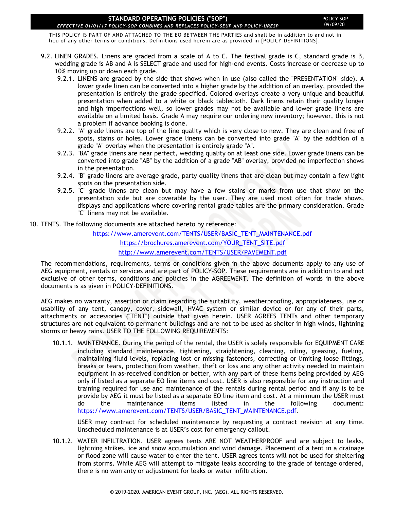#### POLICY-SOP 09/09/20

THIS POLICY IS PART OF AND ATTACHED TO THE EO BETWEEN THE PARTIES and shall be in addition to and not in lieu of any other terms or conditions. Definitions used herein are as provided in [POLICY-DEFINITIONS].

- 9.2. LINEN GRADES. Linens are graded from a scale of A to C. The festival grade is C, standard grade is B, wedding grade is AB and A is SELECT grade and used for high-end events. Costs increase or decrease up to 10% moving up or down each grade.
	- 9.2.1. LINENS are graded by the side that shows when in use (also called the "PRESENTATION" side). A lower grade linen can be converted into a higher grade by the addition of an overlay, provided the presentation is entirely the grade specified. Colored overlays create a very unique and beautiful presentation when added to a white or black tablecloth. Dark linens retain their quality longer and high imperfections well, so lower grades may not be available and lower grade linens are available on a limited basis. Grade A may require our ordering new inventory; however, this is not a problem if advance booking is done.
	- 9.2.2. "A" grade linens are top of the line quality which is very close to new. They are clean and free of spots, stains or holes. Lower grade linens can be converted into grade "A" by the addition of a grade "A" overlay when the presentation is entirely grade "A".
	- 9.2.3. "BA" grade linens are near perfect, wedding quality on at least one side. Lower grade linens can be converted into grade "AB" by the addition of a grade "AB" overlay, provided no imperfection shows in the presentation.
	- 9.2.4. "B" grade linens are average grade, party quality linens that are clean but may contain a few light spots on the presentation side.
	- 9.2.5. "C" grade linens are clean but may have a few stains or marks from use that show on the presentation side but are coverable by the user. They are used most often for trade shows, displays and applications where covering rental grade tables are the primary consideration. Grade "C" linens may not be available.
- 10. TENTS. The following documents are attached hereto by reference:

[https://www.amerevent.com/TENTS/USER/BASIC\\_TENT\\_MAINTENANCE.pdf](https://www.amerevent.com/TENTS/USER/BASIC_TENT_MAINTENANCE.pdf) [https://brochures.amerevent.com/YOUR\\_TENT\\_SITE.pdf](https://brochures.amerevent.com/YOUR_TENT_SITE.pdf) <http://www.amerevent.com/TENTS/USER/PAVEMENT.pdf>

The recommendations, requirements, terms or conditions given in the above documents apply to any use of AEG equipment, rentals or services and are part of POLICY-SOP. These requirements are in addition to and not exclusive of other terms, conditions and policies in the AGREEMENT. The definition of words in the above documents is as given in POLICY-DEFINITIONS.

AEG makes no warranty, assertion or claim regarding the suitability, weatherproofing, appropriateness, use or usability of any tent, canopy, cover, sidewall, HVAC system or similar device or for any of their parts, attachments or accessories ("TENT") outside that given herein. USER AGREES TENTs and other temporary structures are not equivalent to permanent buildings and are not to be used as shelter in high winds, lightning storms or heavy rains. USER TO THE FOLLOWING REQUIREMENTS:

10.1.1. MAINTENANCE. During the period of the rental, the USER is solely responsible for EQUIPMENT CARE including standard maintenance, tightening, straightening, cleaning, oiling, greasing, fueling, maintaining fluid levels, replacing lost or missing fasteners, correcting or limiting loose fittings, breaks or tears, protection from weather, theft or loss and any other activity needed to maintain equipment in as-received condition or better, with any part of these items being provided by AEG only if listed as a separate EO line items and cost. USER is also responsible for any instruction and training required for use and maintenance of the rentals during rental period and if any is to be provide by AEG it must be listed as a separate EO line item and cost. At a minimum the USER must do the maintenance items listed in the following document: [https://www.amerevent.com/TENTS/USER/BASIC\\_TENT\\_MAINTENANCE.pdf.](https://www.amerevent.com/TENTS/USER/BASIC_TENT_MAINTENANCE.pdf)

USER may contract for scheduled maintenance by requesting a contract revision at any time. Unscheduled maintenance is at USER's cost for emergency callout.

10.1.2. WATER INFILTRATION. USER agrees tents ARE NOT WEATHERPROOF and are subject to leaks, lightning strikes, ice and snow accumulation and wind damage. Placement of a tent in a drainage or flood zone will cause water to enter the tent. USER agrees tents will not be used for sheltering from storms. While AEG will attempt to mitigate leaks according to the grade of tentage ordered, there is no warranty or adjustment for leaks or water infiltration.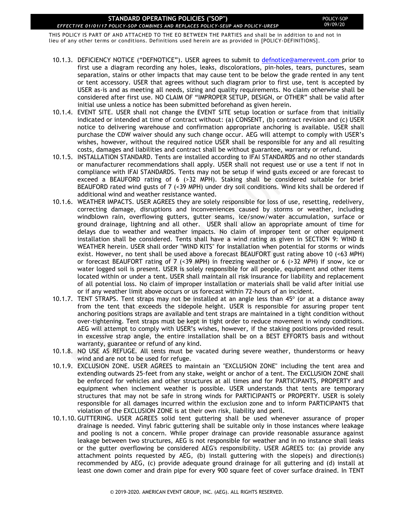THIS POLICY IS PART OF AND ATTACHED TO THE EO BETWEEN THE PARTIES and shall be in addition to and not in lieu of any other terms or conditions. Definitions used herein are as provided in [POLICY-DEFINITIONS].

- 10.1.3. DEFICIENCY NOTICE ("DEFNOTICE"). USER agrees to submit to [defnotice@amerevent.com](mailto:defnotice@amerevent.com) prior to first use a diagram recording any holes, leaks, discolorations, pin-holes, tears, punctures, seam separation, stains or other impacts that may cause tent to be below the grade rented in any tent or tent accessory. USER that agrees without such diagram prior to first use, tent is accepted by USER as-is and as meeting all needs, sizing and quality requirements. No claim otherwise shall be considered after first use. NO CLAIM OF "IMPROPER SETUP, DESIGN, or OTHER" shall be valid after initial use unless a notice has been submitted beforehand as given herein.
- 10.1.4. EVENT SITE. USER shall not change the EVENT SITE setup location or surface from that initially indicated or intended at time of contract without: (a) CONSENT, (b) contract revision and (c) USER notice to delivering warehouse and confirmation appropriate anchoring is available. USER shall purchase the CDW waiver should any such change occur. AEG will attempt to comply with USER's wishes, however, without the required notice USER shall be responsible for any and all resulting costs, damages and liabilities and contract shall be without guarantee, warranty or refund.
- 10.1.5. INSTALLATION STANDARD. Tents are installed according to IFAI STANDARDS and no other standards or manufacturer recommendations shall apply. USER shall not request use or use a tent if not in compliance with IFAI STANDARDS. Tents may not be setup if wind gusts exceed or are forecast to exceed a BEAUFORD rating of 6 (>32 MPH). Staking shall be considered suitable for brief BEAUFORD rated wind gusts of 7 (<39 MPH) under dry soil conditions. Wind kits shall be ordered if additional wind and weather resistance wanted.
- 10.1.6. WEATHER IMPACTS. USER AGREES they are solely responsible for loss of use, resetting, redelivery, correcting damage, disruptions and inconveniences caused by storms or weather, including windblown rain, overflowing gutters, gutter seams, ice/snow/water accumulation, surface or ground drainage, lightning and all other. USER shall allow an appropriate amount of time for delays due to weather and weather impacts. No claim of improper tent or other equipment installation shall be considered. Tents shall have a wind rating as given in SECTION 9: WIND & WEATHER herein. USER shall order "WIND KITS" for installation when potential for storms or winds exist. However, no tent shall be used above a forecast BEAUFORT gust rating above 10 (<63 MPH) or forecast BEAUFORT rating of 7 (<39 MPH) in freezing weather or 6 (>32 MPH) if snow, ice or water logged soil is present. USER is solely responsible for all people, equipment and other items located within or under a tent. USER shall maintain all risk insurance for liability and replacement of all potential loss. No claim of improper installation or materials shall be valid after initial use or if any weather limit above occurs or us forecast within 72-hours of an incident.
- 10.1.7. TENT STRAPS. Tent straps may not be installed at an angle less than  $45^{\circ}$  (or at a distance away from the tent that exceeds the sidepole height. USER is responsible for assuring proper tent anchoring positions straps are available and tent straps are maintained in a tight condition without over-tightening. Tent straps must be kept in tight order to reduce movement in windy conditions. AEG will attempt to comply with USER's wishes, however, if the staking positions provided result in excessive strap angle, the entire installation shall be on a BEST EFFORTS basis and without warranty, guarantee or refund of any kind.
- 10.1.8. NO USE AS REFUGE. All tents must be vacated during severe weather, thunderstorms or heavy wind and are not to be used for refuge.
- 10.1.9. EXCLUSION ZONE. USER AGREES to maintain an "EXCLUSION ZONE" including the tent area and extending outwards 25-feet from any stake, weight or anchor of a tent. The EXCLUSION ZONE shall be enforced for vehicles and other structures at all times and for PARTICIPANTS, PROPERTY and equipment when inclement weather is possible. USER understands that tents are temporary structures that may not be safe in strong winds for PARTICIPANTS or PROPERTY. USER is solely responsible for all damages incurred within the exclusion zone and to inform PARTICIPANTS that violation of the EXCLUSION ZONE is at their own risk, liability and peril.
- 10.1.10. GUTTERING. USER AGREES solid tent guttering shall be used whenever assurance of proper drainage is needed. Vinyl fabric guttering shall be suitable only in those instances where leakage and pooling is not a concern. While proper drainage can provide reasonable assurance against leakage between two structures, AEG is not responsible for weather and in no instance shall leaks or the gutter overflowing be considered AEG's responsibility. USER AGREES to: (a) provide any attachment points requested by AEG, (b) install guttering with the slope(s) and direction(s) recommended by AEG, (c) provide adequate ground drainage for all guttering and (d) install at least one down comer and drain pipe for every 900 square feet of cover surface drained. In TENT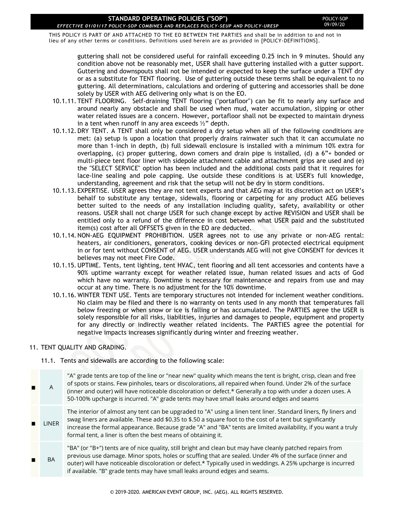#### POLICY-SOP 09/09/20

THIS POLICY IS PART OF AND ATTACHED TO THE EO BETWEEN THE PARTIES and shall be in addition to and not in lieu of any other terms or conditions. Definitions used herein are as provided in [POLICY-DEFINITIONS].

guttering shall not be considered useful for rainfall exceeding 0.25 inch in 9 minutes. Should any condition above not be reasonably met, USER shall have guttering installed with a gutter support. Guttering and downspouts shall not be intended or expected to keep the surface under a TENT dry or as a substitute for TENT flooring. Use of guttering outside these terms shall be equivalent to no guttering. All determinations, calculations and ordering of guttering and accessories shall be done solely by USER with AEG delivering only what is on the EO.

- 10.1.11. TENT FLOORING. Self-draining TENT flooring ("portafloor") can be fit to nearly any surface and around nearly any obstacle and shall be used when mud, water accumulation, slipping or other water related issues are a concern. However, portafloor shall not be expected to maintain dryness in a tent when runoff in any area exceeds  $\frac{1}{2}$ " depth.
- 10.1.12. DRY TENT. A TENT shall only be considered a dry setup when all of the following conditions are met: (a) setup is upon a location that properly drains rainwater such that it can accumulate no more than 1-inch in depth, (b) full sidewall enclosure is installed with a minimum 10% extra for overlapping, (c) proper guttering, down comers and drain pipe is installed, (d) a 6"+ bonded or multi-piece tent floor liner with sidepole attachment cable and attachment grips are used and (e) the "SELECT SERVICE" option has been included and the additional costs paid that it requires for lace-line sealing and pole capping. Use outside these conditions is at USER's full knowledge, understanding, agreement and risk that the setup will not be dry in storm conditions.
- 10.1.13. EXPERTISE. USER agrees they are not tent experts and that AEG may at its discretion act on USER's behalf to substitute any tentage, sidewalls, flooring or carpeting for any product AEG believes better suited to the needs of any installation including quality, safety, availability or other reasons. USER shall not charge USER for such change except by active REVISION and USER shall be entitled only to a refund of the difference in cost between what USER paid and the substituted item(s) cost after all OFFSETS given in the EO are deducted.
- 10.1.14. NON-AEG EQUIPMENT PROHIBITION. USER agrees not to use any private or non-AEG rental: heaters, air conditioners, generators, cooking devices or non-GFI protected electrical equipment in or for tent without CONSENT of AEG. USER understands AEG will not give CONSENT for devices it believes may not meet Fire Code.
- 10.1.15. UPTIME. Tents, tent lighting, tent HVAC, tent flooring and all tent accessories and contents have a 90% uptime warranty except for weather related issue, human related issues and acts of God which have no warranty. Downtime is necessary for maintenance and repairs from use and may occur at any time. There is no adjustment for the 10% downtime.
- 10.1.16. WINTER TENT USE. Tents are temporary structures not intended for inclement weather conditions. No claim may be filed and there is no warranty on tents used in any month that temperatures fall below freezing or when snow or ice is falling or has accumulated. The PARTIES agree the USER is solely responsible for all risks, liabilities, injuries and damages to people, equipment and property for any directly or indirectly weather related incidents. The PARTIES agree the potential for negative impacts increases significantly during winter and freezing weather.

### 11. TENT QUALITY AND GRADING.

11.1. Tents and sidewalls are according to the following scale:

A "A" grade tents are top of the line or "near new" quality which means the tent is bright, crisp, clean and free of spots or stains. Few pinholes, tears or discolorations, all repaired when found. Under 2% of the surface (inner and outer) will have noticeable discoloration or defect.\* Generally a top with under a dozen uses. A 50-100% upcharge is incurred. "A" grade tents may have small leaks around edges and seams LINER The interior of almost any tent can be upgraded to "A" using a linen tent liner. Standard liners, fly liners and swag liners are available. These add \$0.35 to \$.50 a square foot to the cost of a tent but significantly increase the formal appearance. Because grade "A" and "BA" tents are limited availability, if you want a truly formal tent, a liner is often the best means of obtaining it. BA "BA" (or "B+") tents are of nice quality, still bright and clean but may have cleanly patched repairs from previous use damage. Minor spots, holes or scuffing that are sealed. Under 4% of the surface (inner and outer) will have noticeable discoloration or defect.\* Typically used in weddings. A 25% upcharge is incurred if available. "B" grade tents may have small leaks around edges and seams.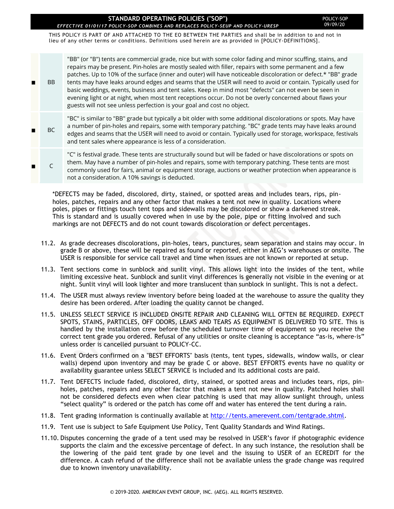THIS POLICY IS PART OF AND ATTACHED TO THE EO BETWEEN THE PARTIES and shall be in addition to and not in lieu of any other terms or conditions. Definitions used herein are as provided in [POLICY-DEFINITIONS].

BB "BB" (or "B") tents are commercial grade, nice but with some color fading and minor scuffing, stains, and repairs may be present. Pin-holes are mostly sealed with filler, repairs with some permanent and a few patches. Up to 10% of the surface (inner and outer) will have noticeable discoloration or defect.\* "BB" grade tents may have leaks around edges and seams that the USER will need to avoid or contain. Typically used for basic weddings, events, business and tent sales. Keep in mind most "defects" can not even be seen in evening light or at night, when most tent receptions occur. Do not be overly concerned about flaws your guests will not see unless perfection is your goal and cost no object. BC "BC" is similar to "BB" grade but typically a bit older with some additional discolorations or spots. May have a number of pin-holes and repairs, some with temporary patching. "BC" grade tents may have leaks around edges and seams that the USER will need to avoid or contain. Typically used for storage, workspace, festivals and tent sales where appearance is less of a consideration.

C "C" is festival grade. These tents are structurally sound but will be faded or have discolorations or spots on them. May have a number of pin-holes and repairs, some with temporary patching. These tents are most commonly used for fairs, animal or equipment storage, auctions or weather protection when appearance is not a consideration. A 10% savings is deducted.

\*DEFECTS may be faded, discolored, dirty, stained, or spotted areas and includes tears, rips, pinholes, patches, repairs and any other factor that makes a tent not new in quality. Locations where poles, pipes or fittings touch tent tops and sidewalls may be discolored or show a darkened streak. This is standard and is usually covered when in use by the pole, pipe or fitting involved and such markings are not DEFECTS and do not count towards discoloration or defect percentages.

- 11.2. As grade decreases discolorations, pin-holes, tears, punctures, seam separation and stains may occur. In grade B or above, these will be repaired as found or reported, either in AEG's warehouses or onsite. The USER is responsible for service call travel and time when issues are not known or reported at setup.
- 11.3. Tent sections come in sunblock and sunlit vinyl. This allows light into the insides of the tent, while limiting excessive heat. Sunblock and sunlit vinyl differences is generally not visible in the evening or at night. Sunlit vinyl will look lighter and more translucent than sunblock in sunlight. This is not a defect.
- 11.4. The USER must always review inventory before being loaded at the warehouse to assure the quality they desire has been ordered. After loading the quality cannot be changed.
- 11.5. UNLESS SELECT SERVICE IS INCLUDED ONSITE REPAIR AND CLEANING WILL OFTEN BE REQUIRED. EXPECT SPOTS, STAINS, PARTICLES, OFF ODORS, LEAKS AND TEARS AS EQUIPMENT IS DELIVERED TO SITE. This is handled by the installation crew before the scheduled turnover time of equipment so you receive the correct tent grade you ordered. Refusal of any utilities or onsite cleaning is acceptance "as-is, where-is" unless order is cancelled pursuant to POLICY-CC.
- 11.6. Event Orders confirmed on a "BEST EFFORTS" basis (tents, tent types, sidewalls, window walls, or clear walls) depend upon inventory and may be grade C or above. BEST EFFORTS events have no quality or availability guarantee unless SELECT SERVICE is included and its additional costs are paid.
- 11.7. Tent DEFECTS include faded, discolored, dirty, stained, or spotted areas and includes tears, rips, pinholes, patches, repairs and any other factor that makes a tent not new in quality. Patched holes shall not be considered defects even when clear patching is used that may allow sunlight through, unless "select quality" is ordered or the patch has come off and water has entered the tent during a rain.
- 11.8. Tent grading information is continually available at [http://tents.amerevent.com/tentgrade.shtml.](http://tents.amerevent.com/tentgrade.shtml)
- 11.9. Tent use is subject to Safe Equipment Use Policy, Tent Quality Standards and Wind Ratings.
- 11.10. Disputes concerning the grade of a tent used may be resolved in USER's favor if photographic evidence supports the claim and the excessive percentage of defect. In any such instance, the resolution shall be the lowering of the paid tent grade by one level and the issuing to USER of an ECREDIT for the difference. A cash refund of the difference shall not be available unless the grade change was required due to known inventory unavailability.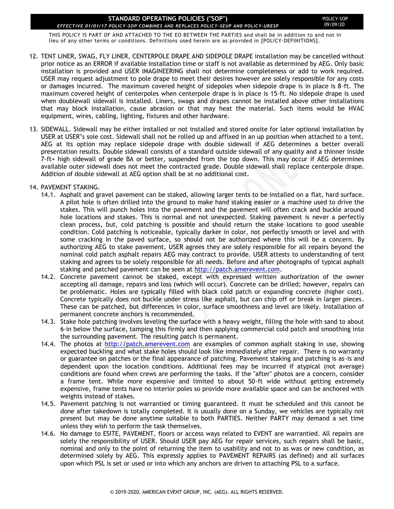THIS POLICY IS PART OF AND ATTACHED TO THE EO BETWEEN THE PARTIES and shall be in addition to and not in lieu of any other terms or conditions. Definitions used herein are as provided in [POLICY-DEFINITIONS].

- 12. TENT LINER, SWAG, FLY LINER, CENTERPOLE DRAPE AND SIDEPOLE DRAPE installation may be cancelled without prior notice as an ERROR if available installation time or staff is not available as determined by AEG. Only basic installation is provided and USER IMAGINEERING shall not determine completeness or add to work required. USER may request adjustment to pole drape to meet their desires however are solely responsible for any costs or damages incurred. The maximum covered height of sidepoles when sidepole drape is in place is 8-ft. The maximum covered height of centerpoles when centerpole drape is in place is 15-ft. No sidepole drape is used when doublewall sidewall is installed. Liners, swags and drapes cannot be installed above other installations that may block installation, cause abrasion or that may heat the material. Such items would be HVAC equipment, wires, cabling, lighting, fixtures and other hardware.
- 13. SIDEWALL. Sidewall may be either installed or not installed and stored onsite for later optional installation by USER at USER's sole cost. Sidewall shall not be rolled up and affixed in an up position when attached to a tent. AEG at its option may replace sidepole drape with double sidewall if AEG determines a better overall presentation results. Double sidewall consists of a standard outside sidewall of any quality and a thinner inside 7-ft+ high sidewall of grade BA or better, suspended from the top down. This may occur if AEG determines available outer sidewall does not meet the contracted grade. Double sidewall shall replace centerpole drape. Addition of double sidewall at AEG option shall be at no additional cost.

### 14. PAVEMENT STAKING.

- 14.1. Asphalt and gravel pavement can be staked, allowing larger tents to be installed on a flat, hard surface. A pilot hole is often drilled into the ground to make hand staking easier or a machine used to drive the stakes. This will punch holes into the pavement and the pavement will often crack and buckle around hole locations and stakes. This is normal and not unexpected. Staking pavement is never a perfectly clean process, but, cold patching is possible and should return the stake locations to good useable condition. Cold patching is noticeable, typically darker in color, not perfectly smooth or level and with some cracking in the paved surface, so should not be authorized where this will be a concern. By authorizing AEG to stake pavement, USER agrees they are solely responsible for all repairs beyond the nominal cold patch asphalt repairs AEG may contract to provide. USER attests to understanding of tent staking and agrees to be solely responsible for all needs. Before and after photographs of typical asphalt staking and patched pavement can be seen at [http://patch.amerevent.com.](http://patch.amerevent.com/)
- 14.2. Concrete pavement cannot be staked, except with expressed written authorization of the owner accepting all damage, repairs and loss (which will occur). Concrete can be drilled; however, repairs can be problematic. Holes are typically filled with black cold patch or expanding concrete (higher cost). Concrete typically does not buckle under stress like asphalt, but can chip off or break in larger pieces. These can be patched, but differences in color, surface smoothness and level are likely. Installation of permanent concrete anchors is recommended.
- 14.3. Stake hole patching involves leveling the surface with a heavy weight, filling the hole with sand to about 6-in below the surface, tamping this firmly and then applying commercial cold patch and smoothing into the surrounding pavement. The resulting patch is permanent.
- 14.4. The photos at [http://patch.amerevent.com](http://patch.amerevent.com/) are examples of common asphalt staking in use, showing expected buckling and what stake holes should look like immediately after repair. There is no warranty or guarantee on patches or the final appearance of patching. Pavement staking and patching is as-is and dependent upon the location conditions. Additional fees may be incurred if atypical (not average) conditions are found when crews are performing the tasks. If the "after" photos are a concern, consider a frame tent. While more expensive and limited to about 50-ft wide without getting extremely expensive, frame tents have no interior poles so provide more available space and can be anchored with weights instead of stakes.
- 14.5. Pavement patching is not warrantied or timing guaranteed. It must be scheduled and this cannot be done after takedown is totally completed. It is usually done on a Sunday, we vehicles are typically not present but may be done anytime suitable to both PARTIES. Neither PARTY may demand a set time unless they wish to perform the task themselves.
- 14.6. No damage to ESITE, PAVEMENT, floors or access ways related to EVENT are warrantied. All repairs are solely the responsibility of USER. Should USER pay AEG for repair services, such repairs shall be basic, nominal and only to the point of returning the item to usability and not to as was or new condition, as determined solely by AEG. This expressly applies to PAVEMENT REPAIRS (as defined) and all surfaces upon which PSL is set or used or into which any anchors are driven to attaching PSL to a surface.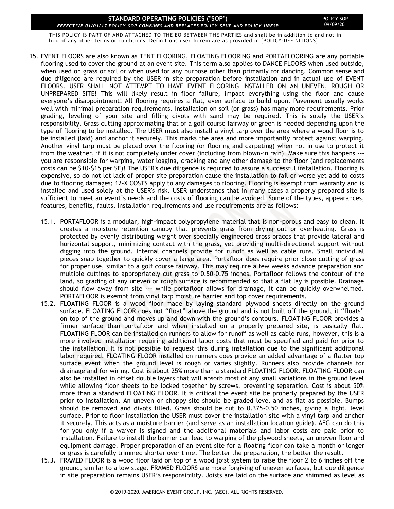THIS POLICY IS PART OF AND ATTACHED TO THE EO BETWEEN THE PARTIES and shall be in addition to and not in lieu of any other terms or conditions. Definitions used herein are as provided in [POLICY-DEFINITIONS].

- 15. EVENT FLOORS are also known as TENT FLOORING, FLOATING FLOORING and PORTAFLOORING are any portable flooring used to cover the ground at an event site. This term also applies to DANCE FLOORS when used outside, when used on grass or soil or when used for any purpose other than primarily for dancing. Common sense and due diligence are required by the USER in site preparation before installation and in actual use of EVENT FLOORS. USER SHALL NOT ATTEMPT TO HAVE EVENT FLOORING INSTALLED ON AN UNEVEN, ROUGH OR UNPREPARED SITE! This will likely result in floor failure, impact everything using the floor and cause everyone's disappointment! All flooring requires a flat, even surface to build upon. Pavement usually works well with minimal preparation requirements. Installation on soil (or grass) has many more requirements. Prior grading, leveling of your site and filling divots with sand may be required. This is solely the USER's responsibility. Grass cutting approximating that of a golf course fairway or green is needed depending upon the type of flooring to be installed. The USER must also install a vinyl tarp over the area where a wood floor is to be installed (laid) and anchor it securely. This marks the area and more importantly protect against warping. Another vinyl tarp must be placed over the flooring (or flooring and carpeting) when not in use to protect it from the weather, if it is not completely under cover (including from blown-in rain). Make sure this happens -- you are responsible for warping, water logging, cracking and any other damage to the floor (and replacements costs can be \$10-\$15 per SF)! The USER's due diligence is required to assure a successful installation. Flooring is expensive, so do not let lack of proper site preparation cause the installation to fail or worse yet add to costs due to flooring damages; 12-X COSTS apply to any damages to flooring. Flooring is exempt from warranty and is installed and used solely at the USER's risk. USER understands that in many cases a properly prepared site is sufficient to meet an event's needs and the costs of flooring can be avoided. Some of the types, appearances, features, benefits, faults, installation requirements and use requirements are as follows:
	- 15.1. PORTAFLOOR is a modular, high-impact polypropylene material that is non-porous and easy to clean. It creates a moisture retention canopy that prevents grass from drying out or overheating. Grass is protected by evenly distributing weight over specially engineered cross braces that provide lateral and horizontal support, minimizing contact with the grass, yet providing multi-directional support without digging into the ground. Internal channels provide for runoff as well as cable runs. Small individual pieces snap together to quickly cover a large area. Portafloor does require prior close cutting of grass for proper use, similar to a golf course fairway. This may require a few weeks advance preparation and multiple cuttings to appropriately cut grass to 0.50-0.75 inches. Portafloor follows the contour of the land, so grading of any uneven or rough surface is recommended so that a flat lay is possible. Drainage should flow away from site --- while portafloor allows for drainage, it can be quickly overwhelmed. PORTAFLOOR is exempt from vinyl tarp moisture barrier and top cover requirements.
	- 15.2. FLOATING FLOOR is a wood floor made by laying standard plywood sheets directly on the ground surface. FLOATING FLOOR does not "float" above the ground and is not built off the ground, it "floats" on top of the ground and moves up and down with the ground's contours. FLOATING FLOOR provides a firmer surface than portafloor and when installed on a properly prepared site, is basically flat. FLOATING FLOOR can be installed on runners to allow for runoff as well as cable runs, however, this is a more involved installation requiring additional labor costs that must be specified and paid for prior to the installation. It is not possible to request this during installation due to the significant additional labor required. FLOATING FLOOR installed on runners does provide an added advantage of a flatter top surface event when the ground level is rough or varies slightly. Runners also provide channels for drainage and for wiring. Cost is about 25% more than a standard FLOATING FLOOR. FLOATING FLOOR can also be installed in offset double layers that will absorb most of any small variations in the ground level while allowing floor sheets to be locked together by screws, preventing separation. Cost is about 50% more than a standard FLOATING FLOOR. It is critical the event site be properly prepared by the USER prior to installation. An uneven or choppy site should be graded level and as flat as possible. Bumps should be removed and divots filled. Grass should be cut to 0.375-0.50 inches, giving a tight, level surface. Prior to floor installation the USER must cover the installation site with a vinyl tarp and anchor it securely. This acts as a moisture barrier (and serve as an installation location guide). AEG can do this for you only if a waiver is signed and the additional materials and labor costs are paid prior to installation. Failure to install the barrier can lead to warping of the plywood sheets, an uneven floor and equipment damage. Proper preparation of an event site for a floating floor can take a month or longer or grass is carefully trimmed shorter over time. The better the preparation, the better the result.
	- 15.3. FRAMED FLOOR is a wood floor laid on top of a wood joist system to raise the floor 2 to 6 inches off the ground, similar to a low stage. FRAMED FLOORS are more forgiving of uneven surfaces, but due diligence in site preparation remains USER's responsibility. Joists are laid on the surface and shimmed as level as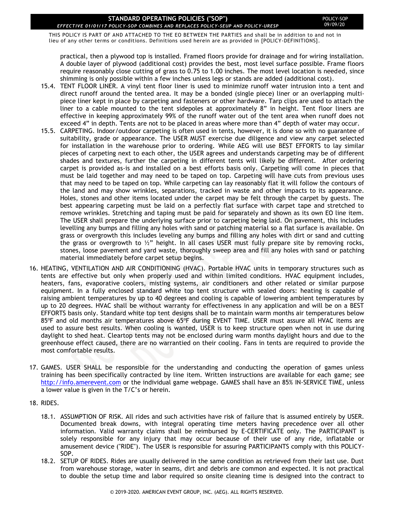THIS POLICY IS PART OF AND ATTACHED TO THE EO BETWEEN THE PARTIES and shall be in addition to and not in lieu of any other terms or conditions. Definitions used herein are as provided in [POLICY-DEFINITIONS].

practical, then a plywood top is installed. Framed floors provide for drainage and for wiring installation. A double layer of plywood (additional cost) provides the best, most level surface possible. Frame floors require reasonably close cutting of grass to 0.75 to 1.00 inches. The most level location is needed, since shimming is only possible within a few inches unless legs or stands are added (additional cost).

- 15.4. TENT FLOOR LINER. A vinyl tent floor liner is used to minimize runoff water intrusion into a tent and direct runoff around the tented area. It may be a bonded (single piece) liner or an overlapping multipiece liner kept in place by carpeting and fasteners or other hardware. Tarp clips are used to attach the liner to a cable mounted to the tent sidepoles at approximately 8" in height. Tent floor liners are effective in keeping approximately 99% of the runoff water out of the tent area when runoff does not exceed 4" in depth. Tents are not to be placed in areas where more than 4" depth of water may occur.
- 15.5. CARPETING. Indoor/outdoor carpeting is often used in tents, however, it is done so with no guarantee of suitability, grade or appearance. The USER MUST exercise due diligence and view any carpet selected for installation in the warehouse prior to ordering. While AEG will use BEST EFFORTS to lay similar pieces of carpeting next to each other, the USER agrees and understands carpeting may be of different shades and textures, further the carpeting in different tents will likely be different. After ordering carpet is provided as-is and installed on a best efforts basis only. Carpeting will come in pieces that must be laid together and may need to be taped on top. Carpeting will have cuts from previous uses that may need to be taped on top. While carpeting can lay reasonably flat it will follow the contours of the land and may show wrinkles, separations, tracked in waste and other impacts to its appearance. Holes, stones and other items located under the carpet may be felt through the carpet by guests. The best appearing carpeting must be laid on a perfectly flat surface with carpet tape and stretched to remove wrinkles. Stretching and taping must be paid for separately and shown as its own EO line item. The USER shall prepare the underlying surface prior to carpeting being laid. On pavement, this includes levelling any bumps and filling any holes with sand or patching material so a flat surface is available. On grass or overgrowth this includes leveling any bumps and filling any holes with dirt or sand and cutting the grass or overgrowth to  $\frac{1}{2}$ " height. In all cases USER must fully prepare site by removing rocks, stones, loose pavement and yard waste, thoroughly sweep area and fill any holes with sand or patching material immediately before carpet setup begins.
- 16. HEATING, VENTILATION AND AIR CONDITIONING (HVAC). Portable HVAC units in temporary structures such as tents are effective but only when properly used and within limited conditions. HVAC equipment includes, heaters, fans, evaporative coolers, misting systems, air conditioners and other related or similar purpose equipment. In a fully enclosed standard white top tent structure with sealed doors: heating is capable of raising ambient temperatures by up to 40 degrees and cooling is capable of lowering ambient temperatures by up to 20 degrees. HVAC shall be without warranty for effectiveness in any application and will be on a BEST EFFORTS basis only. Standard white top tent designs shall be to maintain warm months air temperatures below 85°F and old months air temperatures above 65°F during EVENT TIME. USER must assure all HVAC items are used to assure best results. When cooling is wanted, USER is to keep structure open when not in use during daylight to shed heat. Cleartop tents may not be enclosed during warm months daylight hours and due to the greenhouse effect caused, there are no warrantied on their cooling. Fans in tents are required to provide the most comfortable results.
- 17. GAMES. USER SHALL be responsible for the understanding and conducting the operation of games unless training has been specifically contracted by line item. Written instructions are available for each game; see [http://info.amerevent.com](http://info.amerevent.com/) or the individual game webpage. GAMES shall have an 85% IN-SERVICE TIME, unless a lower value is given in the T/C's or herein.
- 18. RIDES.
	- 18.1. ASSUMPTION OF RISK. All rides and such activities have risk of failure that is assumed entirely by USER. Documented break downs, with integral operating time meters having precedence over all other information. Valid warranty claims shall be reimbursed by E-CERTIFICATE only. The PARTICIPANT is solely responsible for any injury that may occur because of their use of any ride, inflatable or amusement device ("RIDE"). The USER is responsible for assuring PARTICIPANTS comply with this POLICY-SOP.
	- 18.2. SETUP OF RIDES. Rides are usually delivered in the same condition as retrieved from their last use. Dust from warehouse storage, water in seams, dirt and debris are common and expected. It is not practical to double the setup time and labor required so onsite cleaning time is designed into the contract to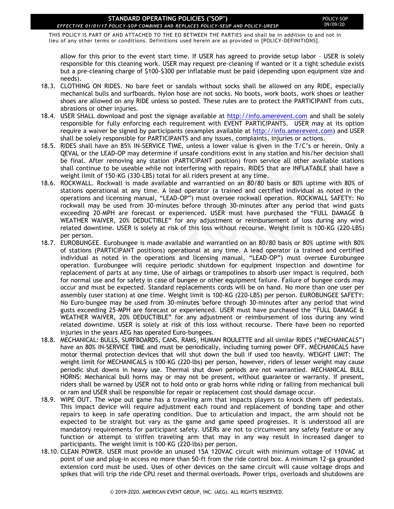THIS POLICY IS PART OF AND ATTACHED TO THE EO BETWEEN THE PARTIES and shall be in addition to and not in lieu of any other terms or conditions. Definitions used herein are as provided in [POLICY-DEFINITIONS].

allow for this prior to the event start time. If USER has agreed to provide setup labor – USER is solely responsible for this cleaning work. USER may request pre-cleaning if wanted or it a tight schedule exists but a pre-cleaning charge of \$100-\$300 per inflatable must be paid (depending upon equipment size and needs).

- 18.3. CLOTHING ON RIDES. No bare feet or sandals without socks shall be allowed on any RIDE, especially mechanical bulls and surfboards. Nylon hose are not socks. No boots, work boots, work shoes or leather shoes are allowed on any RIDE unless so posted. These rules are to protect the PARTICIPANT from cuts, abrasions or other injuries.
- 18.4. USER SHALL download and post the signage available at [http://info.amerevent.com](http://info.amerevent.com/) and shall be solely responsible for fully enforcing each requirement with EVENT PARTICIPANTS. USER may at its option require a waiver be signed by participants (examples available at [http://info.amerevent.com\)](http://info.amerevent.com/) and USER shall be solely responsible for PARTICIPANTS and any issues, complaints, injuries or actions.
- 18.5. RIDES shall have an 85% IN-SERVICE TIME, unless a lower value is given in the T/C's or herein. Only a QEVAL or the LEAD-OP may determine if unsafe conditions exist in any station and his/her decision shall be final. After removing any station (PARTICIPANT position) from service all other available stations shall continue to be useable while not interfering with repairs. RIDES that are INFLATABLE shall have a weight limit of 150-KG (330-LBS) total for all riders present at any time.
- 18.6. ROCKWALL. Rockwall is made available and warrantied on an 80/80 basis or 80% uptime with 80% of stations operational at any time. A lead operator (a trained and certified individual as noted in the operations and licensing manual, "LEAD-OP") must oversee rockwall operation. ROCKWALL SAFETY: No rockwall may be used from 30-minutes before through 30-minutes after any period that wind gusts exceeding 20-MPH are forecast or experienced. USER must have purchased the "FULL DAMAGE & WEATHER WAIVER, 20% DEDUCTIBLE" for any adjustment or reimbursement of loss during any wind related downtime. USER is solely at risk of this loss without recourse. Weight limit is 100-KG (220-LBS) per person.
- 18.7. EUROBUNGEE. Eurobungee is made available and warrantied on an 80/80 basis or 80% uptime with 80% of stations (PARTICIPANT positions) operational at any time. A lead operator (a trained and certified individual as noted in the operations and licensing manual, "LEAD-OP") must oversee Eurobungee operation. Eurobungee will require periodic shutdown for equipment inspection and downtime for replacement of parts at any time. Use of airbags or trampolines to absorb user impact is required, both for normal use and for safety in case of bungee or other equipment failure. Failure of bungee cords may occur and must be expected. Standard replacements cords will be on hand. No more than one user per assembly (user station) at one time. Weight limit is 100-KG (220-LBS) per person. EUROBUNGEE SAFETY: No Euro-bungee may be used from 30-minutes before through 30-minutes after any period that wind gusts exceeding 25-MPH are forecast or experienced. USER must have purchased the "FULL DAMAGE & WEATHER WAIVER, 20% DEDUCTIBLE" for any adjustment or reimbursement of loss during any wind related downtime. USER is solely at risk of this loss without recourse. There have been no reported injuries in the years AEG has operated Euro-bungees.
- 18.8. MECHANICAL: BULLS, SURFBOARDS, CANS, RAMS, HUMAN ROULETTE and all similar RIDES ("MECHANICALS") have an 80% IN-SERVICE TIME and must be periodically, including turning power OFF. MECHANICALS have motor thermal protection devices that will shut down the bull if used too heavily. WEIGHT LIMIT: The weight limit for MECHANICALS is 100-KG (220-lbs) per person, however, riders of lesser weight may cause periodic shut downs in heavy use. Thermal shut down periods are not warrantied. MECHANICAL BULL HORNS: Mechanical bull horns may or may not be present, without guarantee or warranty. If present, riders shall be warned by USER not to hold onto or grab horns while riding or falling from mechanical bull or ram and USER shall be responsible for repair or replacement cost should damage occur.
- 18.9. WIPE OUT. The wipe out game has a traveling arm that impacts players to knock them off pedestals. This impact device will require adjustment each round and replacement of bonding tape and other repairs to keep in safe operating condition. Due to articulation and impact, the arm should not be expected to be straight but vary as the game and game speed progresses. It is understood all are mandatory requirements for participant safety. USERs are not to circumvent any safety feature or any function or attempt to stiffen traveling arm that may in any way result in increased danger to participants. The weight limit is 100-KG (220-lbs) per person.
- 18.10. CLEAN POWER. USER must provide an unused 15A 120VAC circuit with minimum voltage of 110VAC at point of use and plug-in access no more than 50-ft from the ride control box. A minimum 12-ga grounded extension cord must be used. Uses of other devices on the same circuit will cause voltage drops and spikes that will trip the ride CPU reset and thermal overloads. Power trips, overloads and shutdowns are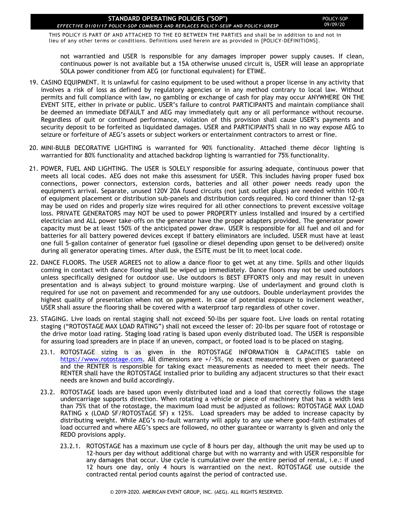THIS POLICY IS PART OF AND ATTACHED TO THE EO BETWEEN THE PARTIES and shall be in addition to and not in lieu of any other terms or conditions. Definitions used herein are as provided in [POLICY-DEFINITIONS].

not warrantied and USER is responsible for any damages improper power supply causes. If clean, continuous power is not available but a 15A otherwise unused circuit is, USER will lease an appropriate SOLA power conditioner from AEG (or functional equivalent) for ETIME.

- 19. CASINO EQUIPMENT. It is unlawful for casino equipment to be used without a proper license in any activity that involves a risk of loss as defined by regulatory agencies or in any method contrary to local law. Without permits and full compliance with law, no gambling or exchange of cash for play may occur ANYWHERE ON THE EVENT SITE, either in private or public. USER's failure to control PARTICIPANTS and maintain compliance shall be deemed an immediate DEFAULT and AEG may immediately quit any or all performance without recourse. Regardless of quit or continued performance, violation of this provision shall cause USER's payments and security deposit to be forfeited as liquidated damages. USER and PARTICIPANTS shall in no way expose AEG to seizure or forfeiture of AEG's assets or subject workers or entertainment contractors to arrest or fine.
- 20. MINI-BULB DECORATIVE LIGHTING is warranted for 90% functionality. Attached theme décor lighting is warrantied for 80% functionality and attached backdrop lighting is warrantied for 75% functionality.
- 21. POWER, FUEL AND LIGHTING. The USER is SOLELY responsible for assuring adequate, continuous power that meets all local codes. AEG does not make this assessment for USER. This includes having proper fused box connections, power connectors, extension cords, batteries and all other power needs ready upon the equipment's arrival. Separate, unused 120V 20A fused circuits (not just outlet plugs) are needed within 100-ft of equipment placement or distribution sub-panels and distribution cords required. No cord thinner than 12-ga may be used on rides and properly size wires required for all other connections to prevent excessive voltage loss. PRIVATE GENERATORS may NOT be used to power PROPERTY unless installed and insured by a certified electrician and ALL power take-offs on the generator have the proper adapters provided. The generator power capacity must be at least 150% of the anticipated power draw. USER is responsible for all fuel and oil and for batteries for all battery powered devices except if battery eliminators are included. USER must have at least one full 5-gallon container of generator fuel (gasoline or diesel depending upon genset to be delivered) onsite during all generator operating times. After dusk, the ESITE must be lit to meet local code.
- 22. DANCE FLOORS. The USER AGREES not to allow a dance floor to get wet at any time. Spills and other liquids coming in contact with dance flooring shall be wiped up immediately. Dance floors may not be used outdoors unless specifically designed for outdoor use. Use outdoors is BEST EFFORTS only and may result in uneven presentation and is always subject to ground moisture warping. Use of underlayment and ground cloth is required for use not on pavement and recommended for any use outdoors. Double underlayment provides the highest quality of presentation when not on payment. In case of potential exposure to inclement weather, USER shall assure the flooring shall be covered with a waterproof tarp regardless of other cover.
- 23. STAGING. Live loads on rental staging shall not exceed 50-lbs per square foot. Live loads on rental rotating staging ("ROTOSTAGE MAX LOAD RATING") shall not exceed the lesser of: 20-lbs per square foot of rotostage or the drive motor load rating. Staging load rating is based upon evenly distributed load. The USER is responsible for assuring load spreaders are in place if an uneven, compact, or footed load is to be placed on staging.
	- 23.1. ROTOSTAGE sizing is as given in the ROTOSTAGE INFORMATION & CAPACITIES table on [https://www.rotostage.com.](https://www.rotostage.com/) All dimensions are +/-5%, no exact measurement is given or guaranteed and the RENTER is responsible for taking exact measurements as needed to meet their needs. The RENTER shall have the ROTOSTAGE installed prior to building any adjacent structures so that their exact needs are known and build accordingly.
	- 23.2. ROTOSTAGE loads are based upon evenly distributed load and a load that correctly follows the stage undercarriage supports direction. When rotating a vehicle or piece of machinery that has a width less than 75% that of the rotostage, the maximum load must be adjusted as follows: ROTOSTAGE MAX LOAD RATING x (LOAD SF/ROTOSTAGE SF) x 125%. Load spreaders may be added to increase capacity by distributing weight. While AEG's no-fault warranty will apply to any use where good-faith estimates of load occurred and where AEG's specs are followed, no other guarantee or warranty is given and only the REDO provisions apply.
		- 23.2.1. ROTOSTAGE has a maximum use cycle of 8 hours per day, although the unit may be used up to 12-hours per day without additional charge but with no warranty and with USER responsible for any damages that occur. Use cycle is cumulative over the entire period of rental, i.e.: if used 12 hours one day, only 4 hours is warrantied on the next. ROTOSTAGE use outside the contracted rental period counts against the period of contracted use.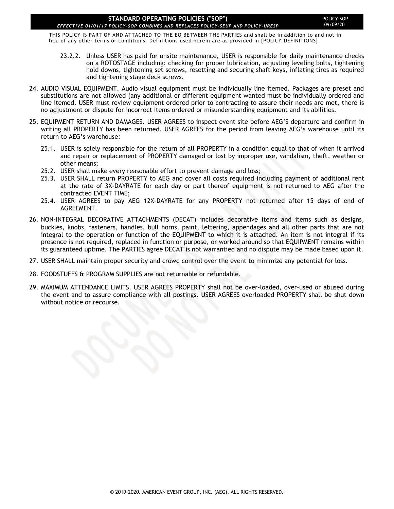### **STANDARD OPERATING POLICIES ("SOP")**

THIS POLICY IS PART OF AND ATTACHED TO THE EO BETWEEN THE PARTIES and shall be in addition to and not in lieu of any other terms or conditions. Definitions used herein are as provided in [POLICY-DEFINITIONS].

- 23.2.2. Unless USER has paid for onsite maintenance, USER is responsible for daily maintenance checks on a ROTOSTAGE including: checking for proper lubrication, adjusting leveling bolts, tightening hold downs, tightening set screws, resetting and securing shaft keys, inflating tires as required and tightening stage deck screws.
- 24. AUDIO VISUAL EQUIPMENT. Audio visual equipment must be individually line itemed. Packages are preset and substitutions are not allowed (any additional or different equipment wanted must be individually ordered and line itemed. USER must review equipment ordered prior to contracting to assure their needs are met, there is no adjustment or dispute for incorrect items ordered or misunderstanding equipment and its abilities.
- 25. EQUIPMENT RETURN AND DAMAGES. USER AGREES to inspect event site before AEG'S departure and confirm in writing all PROPERTY has been returned. USER AGREES for the period from leaving AEG's warehouse until its return to AEG's warehouse:
	- 25.1. USER is solely responsible for the return of all PROPERTY in a condition equal to that of when it arrived and repair or replacement of PROPERTY damaged or lost by improper use, vandalism, theft, weather or other means;
	- 25.2. USER shall make every reasonable effort to prevent damage and loss;
	- 25.3. USER SHALL return PROPERTY to AEG and cover all costs required including payment of additional rent at the rate of 3X-DAYRATE for each day or part thereof equipment is not returned to AEG after the contracted EVENT TIME;
	- 25.4. USER AGREES to pay AEG 12X-DAYRATE for any PROPERTY not returned after 15 days of end of AGREEMENT.
- 26. NON-INTEGRAL DECORATIVE ATTACHMENTS (DECAT) includes decorative items and items such as designs, buckles, knobs, fasteners, handles, bull horns, paint, lettering, appendages and all other parts that are not integral to the operation or function of the EQUIPMENT to which it is attached. An item is not integral if its presence is not required, replaced in function or purpose, or worked around so that EQUIPMENT remains within its guaranteed uptime. The PARTIES agree DECAT is not warrantied and no dispute may be made based upon it.
- 27. USER SHALL maintain proper security and crowd control over the event to minimize any potential for loss.
- 28. FOODSTUFFS & PROGRAM SUPPLIES are not returnable or refundable.
- 29. MAXIMUM ATTENDANCE LIMITS. USER AGREES PROPERTY shall not be over-loaded, over-used or abused during the event and to assure compliance with all postings. USER AGREES overloaded PROPERTY shall be shut down without notice or recourse.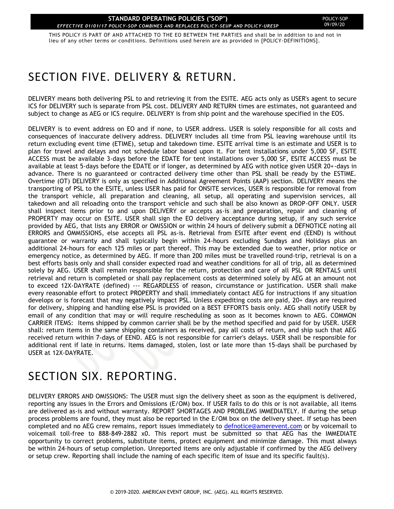THIS POLICY IS PART OF AND ATTACHED TO THE EO BETWEEN THE PARTIES and shall be in addition to and not in lieu of any other terms or conditions. Definitions used herein are as provided in [POLICY-DEFINITIONS].

# <span id="page-20-0"></span>SECTION FIVE. DELIVERY & RETURN.

DELIVERY means both delivering PSL to and retrieving it from the ESITE. AEG acts only as USER's agent to secure ICS for DELIVERY such is separate from PSL cost. DELIVERY AND RETURN times are estimates, not guaranteed and subject to change as AEG or ICS require. DELIVERY is from ship point and the warehouse specified in the EOS.

DELIVERY is to event address on EO and if none, to USER address. USER is solely responsible for all costs and consequences of inaccurate delivery address. DELIVERY includes all time from PSL leaving warehouse until its return excluding event time (ETIME), setup and takedown time. ESITE arrival time is an estimate and USER is to plan for travel and delays and not schedule labor based upon it. For tent installations under 5,000 SF, ESITE ACCESS must be available 3-days before the EDATE for tent installations over 5,000 SF, ESITE ACCESS must be available at least 5-days before the EDATE or if longer, as determined by AEG with notice given USER 20+-days in advance. There is no guaranteed or contracted delivery time other than PSL shall be ready by the ESTIME. Overtime (OT) DELIVERY is only as specified in Additional Agreement Points (AAP) section. DELIVERY means the transporting of PSL to the ESITE, unless USER has paid for ONSITE services, USER is responsible for removal from the transport vehicle, all preparation and cleaning, all setup, all operating and supervision services, all takedown and all reloading onto the transport vehicle and such shall be also known as DROP-OFF ONLY. USER shall inspect items prior to and upon DELIVERY or accepts as-is and preparation, repair and cleaning of PROPERTY may occur on ESITE. USER shall sign the EO delivery acceptance during setup, if any such service provided by AEG, that lists any ERROR or OMISSION or within 24 hours of delivery submit a DEFNOTICE noting all ERRORS and OMMISSIONS, else accepts all PSL as-is. Retrieval from ESITE after event end (EEND) is without guarantee or warranty and shall typically begin within 24-hours excluding Sundays and Holidays plus an additional 24-hours for each 125 miles or part thereof. This may be extended due to weather, prior notice or emergency notice, as determined by AEG. If more than 200 miles must be travelled round-trip, retrieval is on a best efforts basis only and shall consider expected road and weather conditions for all of trip, all as determined solely by AEG. USER shall remain responsible for the return, protection and care of all PSL OR RENTALS until retrieval and return is completed or shall pay replacement costs as determined solely by AEG at an amount not to exceed 12X-DAYRATE (defined) --- REGARDLESS of reason, circumstance or justification. USER shall make every reasonable effort to protect PROPERTY and shall immediately contact AEG for instructions if any situation develops or is forecast that may negatively impact PSL. Unless expediting costs are paid, 20+ days are required for delivery, shipping and handling else PSL is provided on a BEST EFFORTS basis only. AEG shall notify USER by email of any condition that may or will require rescheduling as soon as it becomes known to AEG. COMMON CARRIER ITEMS: Items shipped by common carrier shall be by the method specified and paid for by USER. USER shall: return items in the same shipping containers as received, pay all costs of return, and ship such that AEG received return within 7-days of EEND. AEG is not responsible for carrier's delays. USER shall be responsible for additional rent if late in returns. Items damaged, stolen, lost or late more than 15-days shall be purchased by USER at 12X-DAYRATE.

# <span id="page-20-1"></span>SECTION SIX. REPORTING.

DELIVERY ERRORS AND OMISSIONS: The USER must sign the delivery sheet as soon as the equipment is delivered, reporting any issues in the Errors and Omissions (E/OM) box. If USER fails to do this or is not available, all items are delivered as-is and without warranty. REPORT SHORTAGES AND PROBLEMS IMMEDIATELY. If during the setup process problems are found, they must also be reported in the E/OM box on the delivery sheet. If setup has been completed and no AEG crew remains, report issues immediately to [defnotice@amerevent.com](mailto:defnotice@amerevent.com) or by voicemail to voicemail toll-free to 888-849-2882 x0. This report must be submitted so that AEG has the IMMEDIATE opportunity to correct problems, substitute items, protect equipment and minimize damage. This must always be within 24-hours of setup completion. Unreported items are only adjustable if confirmed by the AEG delivery or setup crew. Reporting shall include the naming of each specific item of issue and its specific fault(s).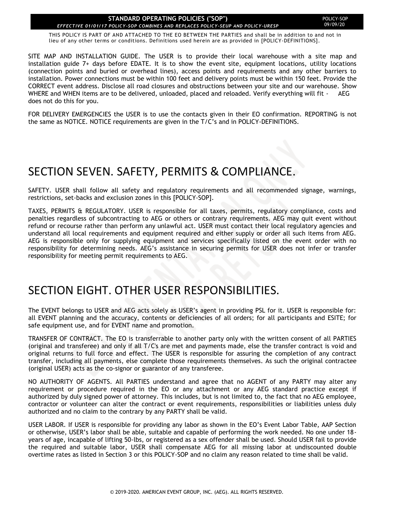THIS POLICY IS PART OF AND ATTACHED TO THE EO BETWEEN THE PARTIES and shall be in addition to and not in lieu of any other terms or conditions. Definitions used herein are as provided in [POLICY-DEFINITIONS].

SITE MAP AND INSTALLATION GUIDE. The USER is to provide their local warehouse with a site map and installation guide 7+ days before EDATE. It is to show the event site, equipment locations, utility locations (connection points and buried or overhead lines), access points and requirements and any other barriers to installation. Power connections must be within 100 feet and delivery points must be within 150 feet. Provide the CORRECT event address. Disclose all road closures and obstructions between your site and our warehouse. Show WHERE and WHEN items are to be delivered, unloaded, placed and reloaded. Verify everything will fit - AEG does not do this for you.

FOR DELIVERY EMERGENCIES the USER is to use the contacts given in their EO confirmation. REPORTING is not the same as NOTICE. NOTICE requirements are given in the T/C's and in POLICY-DEFINITIONS.

### <span id="page-21-0"></span>SECTION SEVEN. SAFETY, PERMITS & COMPLIANCE.

SAFETY. USER shall follow all safety and regulatory requirements and all recommended signage, warnings, restrictions, set-backs and exclusion zones in this [POLICY-SOP].

TAXES, PERMITS & REGULATORY. USER is responsible for all taxes, permits, regulatory compliance, costs and penalties regardless of subcontracting to AEG or others or contrary requirements. AEG may quit event without refund or recourse rather than perform any unlawful act. USER must contact their local regulatory agencies and understand all local requirements and equipment required and either supply or order all such items from AEG. AEG is responsible only for supplying equipment and services specifically listed on the event order with no responsibility for determining needs. AEG's assistance in securing permits for USER does not infer or transfer responsibility for meeting permit requirements to AEG.

### <span id="page-21-1"></span>SECTION EIGHT. OTHER USER RESPONSIBILITIES.

The EVENT belongs to USER and AEG acts solely as USER's agent in providing PSL for it. USER is responsible for: all EVENT planning and the accuracy, contents or deficiencies of all orders; for all participants and ESITE; for safe equipment use, and for EVENT name and promotion.

TRANSFER OF CONTRACT. The EO is transferrable to another party only with the written consent of all PARTIES (original and transferee) and only if all T/C's are met and payments made, else the transfer contract is void and original returns to full force and effect. The USER is responsible for assuring the completion of any contract transfer, including all payments, else complete those requirements themselves. As such the original contractee (original USER) acts as the co-signor or guarantor of any transferee.

NO AUTHORITY OF AGENTS. All PARTIES understand and agree that no AGENT of any PARTY may alter any requirement or procedure required in the EO or any attachment or any AEG standard practice except if authorized by duly signed power of attorney. This includes, but is not limited to, the fact that no AEG employee, contractor or volunteer can alter the contract or event requirements, responsibilities or liabilities unless duly authorized and no claim to the contrary by any PARTY shall be valid.

USER LABOR. If USER is responsible for providing any labor as shown in the EO's Event Labor Table, AAP Section or otherwise, USER's labor shall be able, suitable and capable of performing the work needed. No one under 18 years of age, incapable of lifting 50-lbs, or registered as a sex offender shall be used. Should USER fail to provide the required and suitable labor, USER shall compensate AEG for all missing labor at undiscounted double overtime rates as listed in Section 3 or this POLICY-SOP and no claim any reason related to time shall be valid.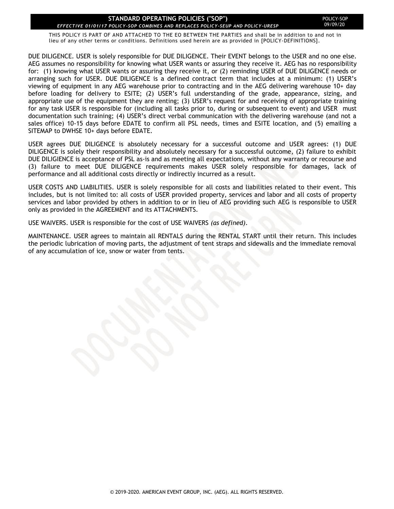THIS POLICY IS PART OF AND ATTACHED TO THE EO BETWEEN THE PARTIES and shall be in addition to and not in lieu of any other terms or conditions. Definitions used herein are as provided in [POLICY-DEFINITIONS].

DUE DILIGENCE. USER is solely responsible for DUE DILIGENCE. Their EVENT belongs to the USER and no one else. AEG assumes no responsibility for knowing what USER wants or assuring they receive it. AEG has no responsibility for: (1) knowing what USER wants or assuring they receive it, or (2) reminding USER of DUE DILIGENCE needs or arranging such for USER. DUE DILIGENCE is a defined contract term that includes at a minimum: (1) USER's viewing of equipment in any AEG warehouse prior to contracting and in the AEG delivering warehouse 10+ day before loading for delivery to ESITE; (2) USER's full understanding of the grade, appearance, sizing, and appropriate use of the equipment they are renting; (3) USER's request for and receiving of appropriate training for any task USER is responsible for (including all tasks prior to, during or subsequent to event) and USER must documentation such training; (4) USER's direct verbal communication with the delivering warehouse (and not a sales office) 10-15 days before EDATE to confirm all PSL needs, times and ESITE location, and (5) emailing a SITEMAP to DWHSE 10+ days before EDATE.

USER agrees DUE DILIGENCE is absolutely necessary for a successful outcome and USER agrees: (1) DUE DILIGENCE is solely their responsibility and absolutely necessary for a successful outcome, (2) failure to exhibit DUE DILIGIENCE is acceptance of PSL as-is and as meeting all expectations, without any warranty or recourse and (3) failure to meet DUE DILIGENCE requirements makes USER solely responsible for damages, lack of performance and all additional costs directly or indirectly incurred as a result.

USER COSTS AND LIABILITIES. USER is solely responsible for all costs and liabilities related to their event. This includes, but is not limited to: all costs of USER provided property, services and labor and all costs of property services and labor provided by others in addition to or in lieu of AEG providing such AEG is responsible to USER only as provided in the AGREEMENT and its ATTACHMENTS.

USE WAIVERS. USER is responsible for the cost of USE WAIVERS *(as defined)*.

MAINTENANCE. USER agrees to maintain all RENTALS during the RENTAL START until their return. This includes the periodic lubrication of moving parts, the adjustment of tent straps and sidewalls and the immediate removal of any accumulation of ice, snow or water from tents.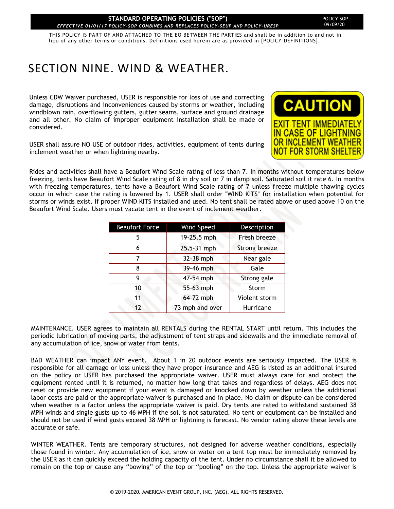THIS POLICY IS PART OF AND ATTACHED TO THE EO BETWEEN THE PARTIES and shall be in addition to and not in lieu of any other terms or conditions. Definitions used herein are as provided in [POLICY-DEFINITIONS].

# <span id="page-23-0"></span>SECTION NINE. WIND & WEATHER.

Unless CDW Waiver purchased, USER is responsible for loss of use and correcting damage, disruptions and inconveniences caused by storms or weather, including windblown rain, overflowing gutters, gutter seams, surface and ground drainage and all other. No claim of improper equipment installation shall be made or considered.



USER shall assure NO USE of outdoor rides, activities, equipment of tents during inclement weather or when lightning nearby.

Rides and activities shall have a Beaufort Wind Scale rating of less than 7. In months without temperatures below freezing, tents have Beaufort Wind Scale rating of 8 in dry soil or 7 in damp soil. Saturated soil it rate 6. In months with freezing temperatures, tents have a Beaufort Wind Scale rating of 7 unless freeze multiple thawing cycles occur in which case the rating is lowered by 1. USER shall order "WIND KITS" for installation when potential for storms or winds exist. If proper WIND KITS installed and used. No tent shall be rated above or used above 10 on the Beaufort Wind Scale. Users must vacate tent in the event of inclement weather.

| <b>Beaufort Force</b> | <b>Wind Speed</b> | Description   |
|-----------------------|-------------------|---------------|
| 5                     | 19-25.5 mph       | Fresh breeze  |
| 6                     | 25.5-31 mph       | Strong breeze |
| 7                     | 32-38 mph         | Near gale     |
| 8                     | 39-46 mph         | Gale          |
| 9                     | 47-54 mph         | Strong gale   |
| 10                    | 55-63 mph         | Storm         |
| 11                    | 64-72 mph         | Violent storm |
| 12                    | 73 mph and over   | Hurricane     |

MAINTENANCE. USER agrees to maintain all RENTALS during the RENTAL START until return. This includes the periodic lubrication of moving parts, the adjustment of tent straps and sidewalls and the immediate removal of any accumulation of ice, snow or water from tents.

BAD WEATHER can impact ANY event. About 1 in 20 outdoor events are seriously impacted. The USER is responsible for all damage or loss unless they have proper insurance and AEG is listed as an additional insured on the policy or USER has purchased the appropriate waiver. USER must always care for and protect the equipment rented until it is returned, no matter how long that takes and regardless of delays. AEG does not reset or provide new equipment if your event is damaged or knocked down by weather unless the additional labor costs are paid or the appropriate waiver is purchased and in place. No claim or dispute can be considered when weather is a factor unless the appropriate waiver is paid. Dry tents are rated to withstand sustained 38 MPH winds and single gusts up to 46 MPH if the soil is not saturated. No tent or equipment can be installed and should not be used if wind gusts exceed 38 MPH or lightning is forecast. No vendor rating above these levels are accurate or safe.

WINTER WEATHER. Tents are temporary structures, not designed for adverse weather conditions, especially those found in winter. Any accumulation of ice, snow or water on a tent top must be immediately removed by the USER as it can quickly exceed the holding capacity of the tent. Under no circumstance shall it be allowed to remain on the top or cause any "bowing" of the top or "pooling" on the top. Unless the appropriate waiver is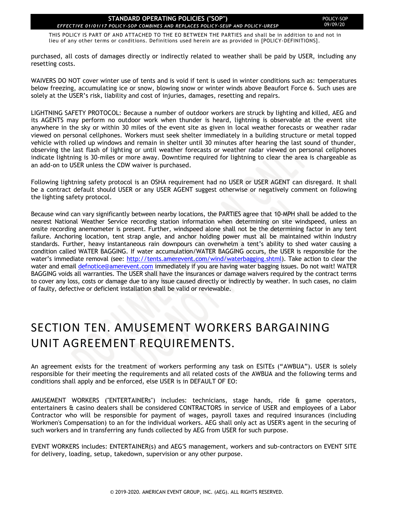THIS POLICY IS PART OF AND ATTACHED TO THE EO BETWEEN THE PARTIES and shall be in addition to and not in lieu of any other terms or conditions. Definitions used herein are as provided in [POLICY-DEFINITIONS].

purchased, all costs of damages directly or indirectly related to weather shall be paid by USER, including any resetting costs.

WAIVERS DO NOT cover winter use of tents and is void if tent is used in winter conditions such as: temperatures below freezing, accumulating ice or snow, blowing snow or winter winds above Beaufort Force 6. Such uses are solely at the USER's risk, liability and cost of injuries, damages, resetting and repairs.

LIGHTNING SAFETY PROTOCOL: Because a number of outdoor workers are struck by lighting and killed, AEG and its AGENTS may perform no outdoor work when thunder is heard, lightning is observable at the event site anywhere in the sky or within 30 miles of the event site as given in local weather forecasts or weather radar viewed on personal cellphones. Workers must seek shelter immediately in a building structure or metal topped vehicle with rolled up windows and remain in shelter until 30 minutes after hearing the last sound of thunder, observing the last flash of lighting or until weather forecasts or weather radar viewed on personal cellphones indicate lightning is 30-miles or more away. Downtime required for lightning to clear the area is chargeable as an add-on to USER unless the CDW waiver is purchased.

Following lightning safety protocol is an OSHA requirement had no USER or USER AGENT can disregard. It shall be a contract default should USER or any USER AGENT suggest otherwise or negatively comment on following the lighting safety protocol.

Because wind can vary significantly between nearby locations, the PARTIES agree that 10-MPH shall be added to the nearest National Weather Service recording station information when determining on site windspeed, unless an onsite recording anemometer is present. Further, windspeed alone shall not be the determining factor in any tent failure. Anchoring location, tent strap angle, and anchor holding power must all be maintained within industry standards. Further, heavy instantaneous rain downpours can overwhelm a tent's ability to shed water causing a condition called WATER BAGGING. If water accumulation/WATER BAGGING occurs, the USER is responsible for the water's immediate removal (see: [http://tents.amerevent.com/wind/waterbagging.shtml\)](http://tents.amerevent.com/wind/waterbagging.shtml). Take action to clear the water and email [defnotice@amerevent.com](mailto:defnotice@amerevent.com) immediately if you are having water bagging issues. Do not wait! WATER BAGGING voids all warranties. The USER shall have the insurances or damage waivers required by the contract terms to cover any loss, costs or damage due to any issue caused directly or indirectly by weather. In such cases, no claim of faulty, defective or deficient installation shall be valid or reviewable.

# <span id="page-24-0"></span>SECTION TEN. AMUSEMENT WORKERS BARGAINING UNIT AGREEMENT REQUIREMENTS.

An agreement exists for the treatment of workers performing any task on ESITEs ("AWBUA"). USER is solely responsible for their meeting the requirements and all related costs of the AWBUA and the following terms and conditions shall apply and be enforced, else USER is in DEFAULT OF EO:

AMUSEMENT WORKERS ("ENTERTAINERs") includes: technicians, stage hands, ride & game operators, entertainers & casino dealers shall be considered CONTRACTORS in service of USER and employees of a Labor Contractor who will be responsible for payment of wages, payroll taxes and required insurances (including Workmen's Compensation) to an for the individual workers. AEG shall only act as USER's agent in the securing of such workers and in transferring any funds collected by AEG from USER for such purpose.

EVENT WORKERS includes: ENTERTAINER(s) and AEG'S management, workers and sub-contractors on EVENT SITE for delivery, loading, setup, takedown, supervision or any other purpose.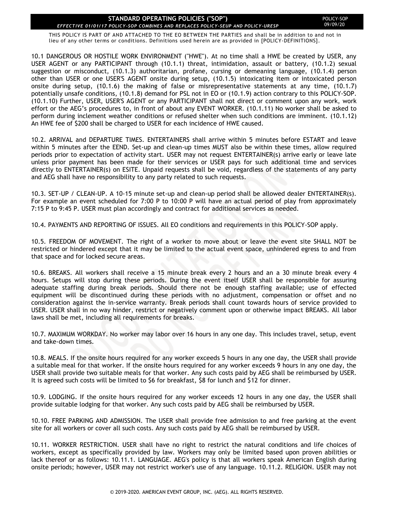THIS POLICY IS PART OF AND ATTACHED TO THE EO BETWEEN THE PARTIES and shall be in addition to and not in lieu of any other terms or conditions. Definitions used herein are as provided in [POLICY-DEFINITIONS].

10.1 DANGEROUS OR HOSTILE WORK ENVIRONMENT ("HWE"). At no time shall a HWE be created by USER, any USER AGENT or any PARTICIPANT through (10.1.1) threat, intimidation, assault or battery, (10.1.2) sexual suggestion or misconduct, (10.1.3) authoritarian, profane, cursing or demeaning language, (10.1.4) person other than USER or one USER'S AGENT onsite during setup, (10.1.5) intoxicating item or intoxicated person onsite during setup, (10.1.6) the making of false or misrepresentative statements at any time, (10.1.7) potentially unsafe conditions, (10.1.8) demand for PSL not in EO or (10.1.9) action contrary to this POLICY-SOP. (10.1.10) Further, USER, USER'S AGENT or any PARTICIPANT shall not direct or comment upon any work, work effort or the AEG's procedures to, in front of about any EVENT WORKER. (10.1.11) No worker shall be asked to perform during inclement weather conditions or refused shelter when such conditions are imminent. (10.1.12) An HWE fee of \$200 shall be charged to USER for each incidence of HWE caused.

10.2. ARRIVAL and DEPARTURE TIMES. ENTERTAINERS shall arrive within 5 minutes before ESTART and leave within 5 minutes after the EEND. Set-up and clean-up times MUST also be within these times, allow required periods prior to expectation of activity start. USER may not request ENTERTAINER(s) arrive early or leave late unless prior payment has been made for their services or USER pays for such additional time and services directly to ENTERTAINER(s) on ESITE. Unpaid requests shall be void, regardless of the statements of any party and AEG shall have no responsibility to any party related to such requests.

10.3. SET-UP / CLEAN-UP. A 10-15 minute set-up and clean-up period shall be allowed dealer ENTERTAINER(s). For example an event scheduled for 7:00 P to 10:00 P will have an actual period of play from approximately 7:15 P to 9:45 P. USER must plan accordingly and contract for additional services as needed.

10.4. PAYMENTS AND REPORTING OF ISSUES. All EO conditions and requirements in this POLICY-SOP apply.

10.5. FREEDOM OF MOVEMENT. The right of a worker to move about or leave the event site SHALL NOT be restricted or hindered except that it may be limited to the actual event space, unhindered egress to and from that space and for locked secure areas.

10.6. BREAKS. All workers shall receive a 15 minute break every 2 hours and an a 30 minute break every 4 hours. Setups will stop during these periods. During the event itself USER shall be responsible for assuring adequate staffing during break periods. Should there not be enough staffing available; use of effected equipment will be discontinued during these periods with no adjustment, compensation or offset and no consideration against the in-service warranty. Break periods shall count towards hours of service provided to USER. USER shall in no way hinder, restrict or negatively comment upon or otherwise impact BREAKS. All labor laws shall be met, including all requirements for breaks.

10.7. MAXIMUM WORKDAY. No worker may labor over 16 hours in any one day. This includes travel, setup, event and take-down times.

10.8. MEALS. If the onsite hours required for any worker exceeds 5 hours in any one day, the USER shall provide a suitable meal for that worker. If the onsite hours required for any worker exceeds 9 hours in any one day, the USER shall provide two suitable meals for that worker. Any such costs paid by AEG shall be reimbursed by USER. It is agreed such costs will be limited to \$6 for breakfast, \$8 for lunch and \$12 for dinner.

10.9. LODGING. If the onsite hours required for any worker exceeds 12 hours in any one day, the USER shall provide suitable lodging for that worker. Any such costs paid by AEG shall be reimbursed by USER.

10.10. FREE PARKING AND ADMISSION. The USER shall provide free admission to and free parking at the event site for all workers or cover all such costs. Any such costs paid by AEG shall be reimbursed by USER.

10.11. WORKER RESTRICTION. USER shall have no right to restrict the natural conditions and life choices of workers, except as specifically provided by law. Workers may only be limited based upon proven abilities or lack thereof or as follows: 10.11.1. LANGUAGE. AEG's policy is that all workers speak American English during onsite periods; however, USER may not restrict worker's use of any language. 10.11.2. RELIGION. USER may not